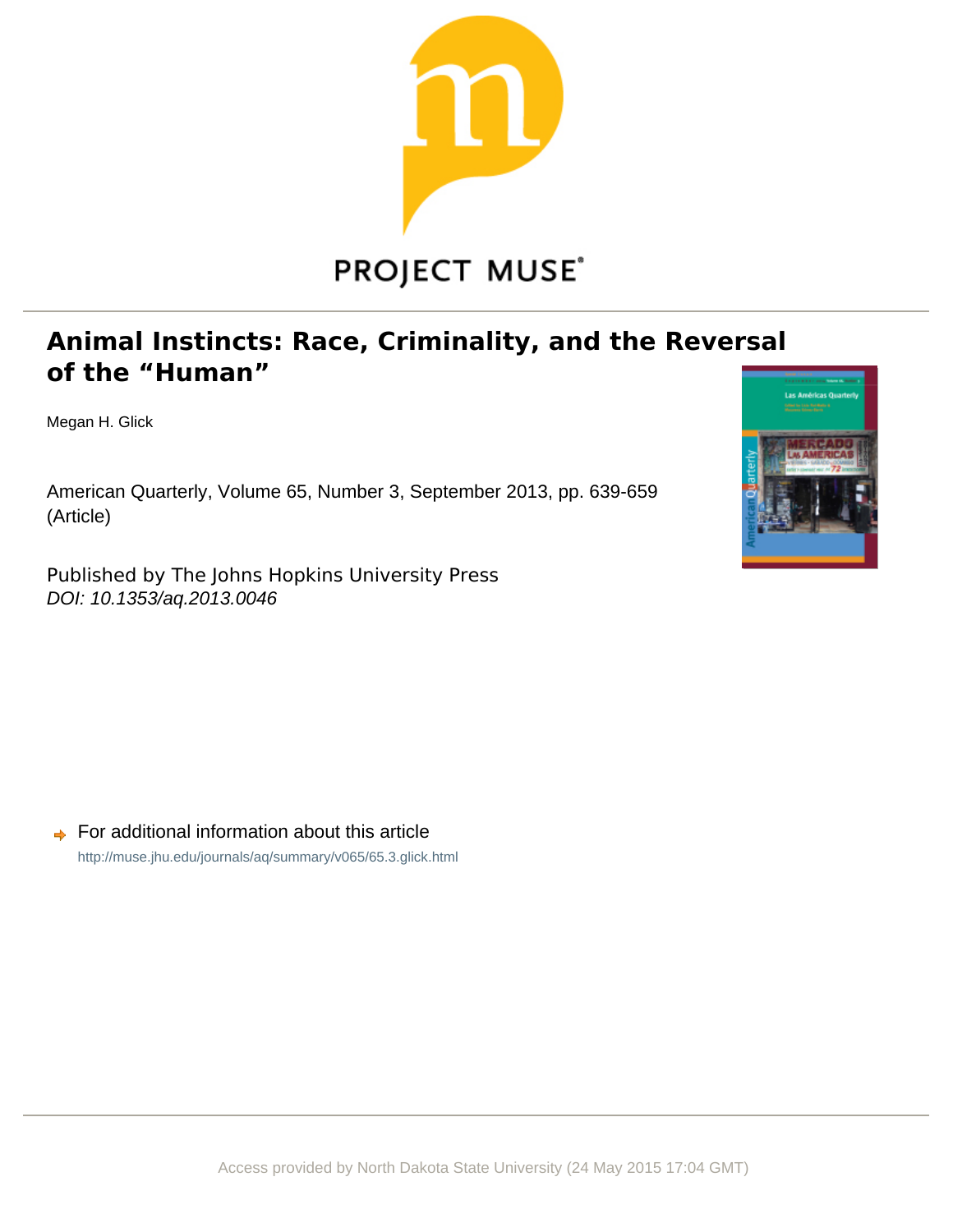

# **PROJECT MUSE®**

## **Animal Instincts: Race, Criminality, and the Reversal** of the "Human"

Megan H. Glick

American Quarterly, Volume 65, Number 3, September 2013, pp. 639-659 (Article)

Published by The Johns Hopkins University Press DOI: 10.1353/aq.2013.0046



For additional information about this article <http://muse.jhu.edu/journals/aq/summary/v065/65.3.glick.html>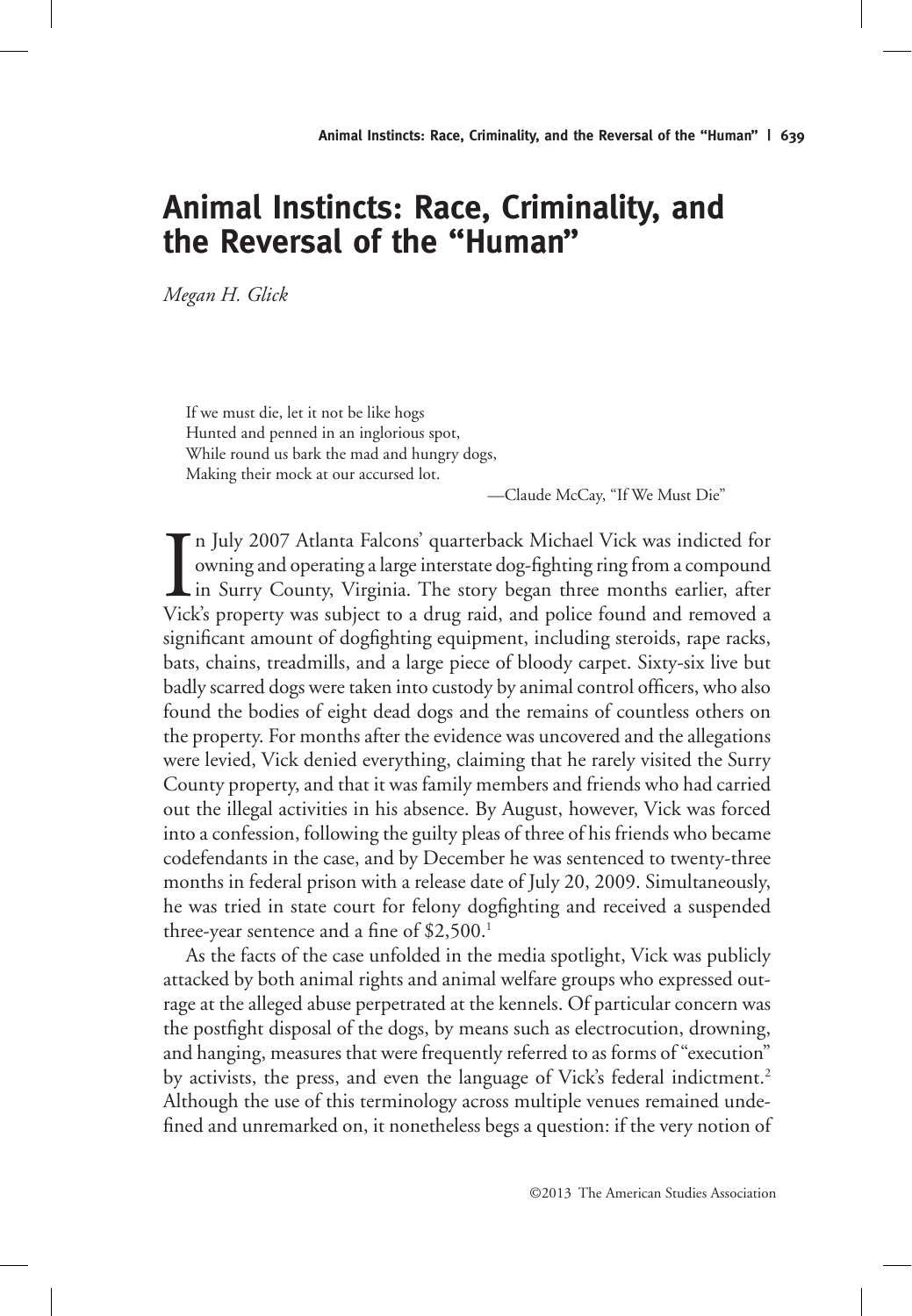## **Animal Instincts: Race, Criminality, and the Reversal of the "Human"**

*Megan H. Glick*

If we must die, let it not be like hogs Hunted and penned in an inglorious spot, While round us bark the mad and hungry dogs, Making their mock at our accursed lot.

—Claude McCay, "If We Must Die"

In July 2007 Atlanta Falcons' quarterback Michael Vick was indicted for<br>
owning and operating a large interstate dog-fighting ring from a compound<br>
in Surry County, Virginia. The story began three months earlier, after<br>
Vi owning and operating a large interstate dog-fighting ring from a compound **L** in Surry County, Virginia. The story began three months earlier, after Vick's property was subject to a drug raid, and police found and removed a significant amount of dogfighting equipment, including steroids, rape racks, bats, chains, treadmills, and a large piece of bloody carpet. Sixty-six live but badly scarred dogs were taken into custody by animal control officers, who also found the bodies of eight dead dogs and the remains of countless others on the property. For months after the evidence was uncovered and the allegations were levied, Vick denied everything, claiming that he rarely visited the Surry County property, and that it was family members and friends who had carried out the illegal activities in his absence. By August, however, Vick was forced into a confession, following the guilty pleas of three of his friends who became codefendants in the case, and by December he was sentenced to twenty-three months in federal prison with a release date of July 20, 2009. Simultaneously, he was tried in state court for felony dogfighting and received a suspended three-year sentence and a fine of \$2,500.<sup>1</sup>

As the facts of the case unfolded in the media spotlight, Vick was publicly attacked by both animal rights and animal welfare groups who expressed outrage at the alleged abuse perpetrated at the kennels. Of particular concern was the postfight disposal of the dogs, by means such as electrocution, drowning, and hanging, measures that were frequently referred to as forms of "execution" by activists, the press, and even the language of Vick's federal indictment.<sup>2</sup> Although the use of this terminology across multiple venues remained undefined and unremarked on, it nonetheless begs a question: if the very notion of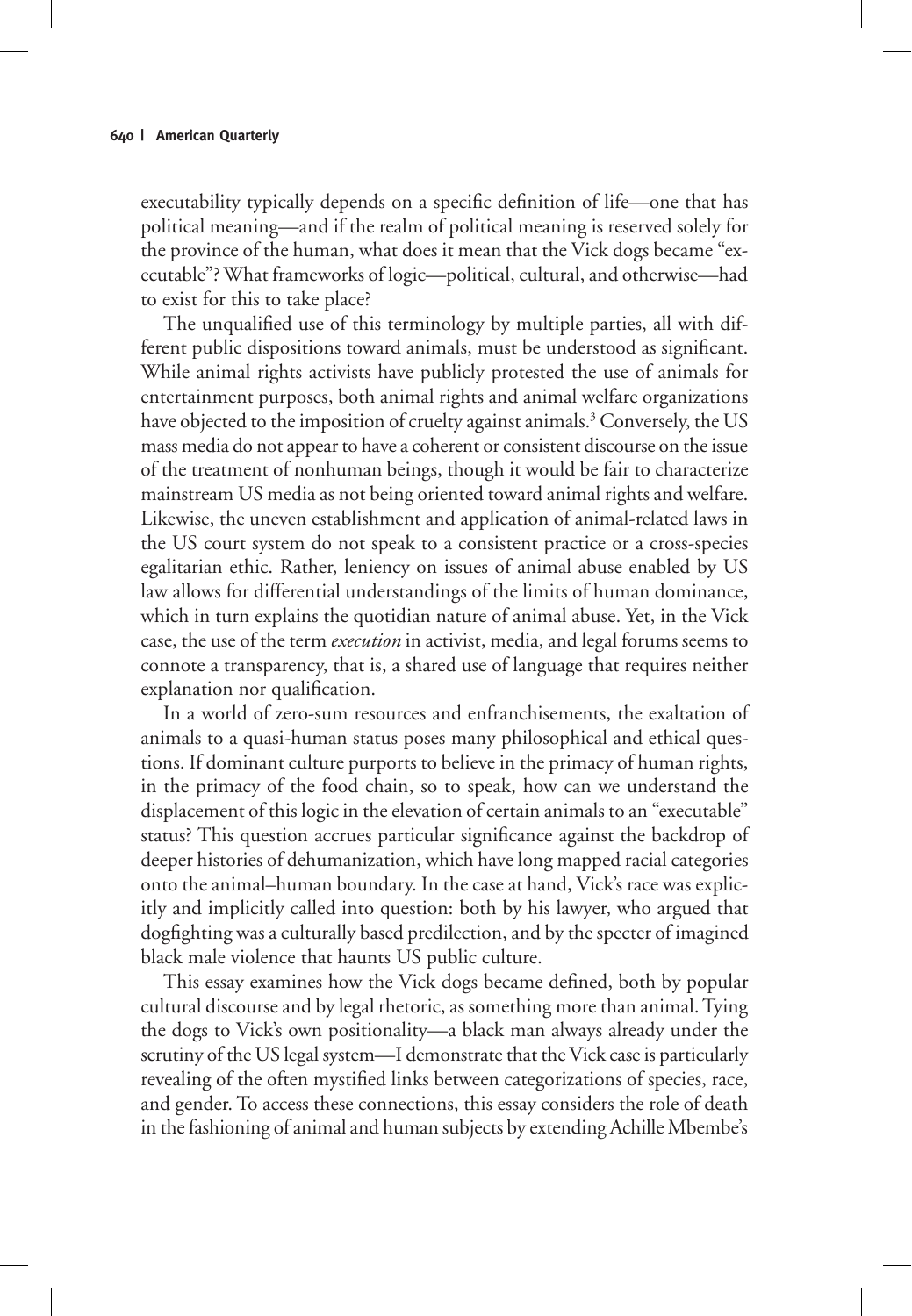executability typically depends on a specific definition of life—one that has political meaning—and if the realm of political meaning is reserved solely for the province of the human, what does it mean that the Vick dogs became "executable"? What frameworks of logic—political, cultural, and otherwise—had to exist for this to take place?

The unqualified use of this terminology by multiple parties, all with different public dispositions toward animals, must be understood as significant. While animal rights activists have publicly protested the use of animals for entertainment purposes, both animal rights and animal welfare organizations have objected to the imposition of cruelty against animals.<sup>3</sup> Conversely, the US mass media do not appear to have a coherent or consistent discourse on the issue of the treatment of nonhuman beings, though it would be fair to characterize mainstream US media as not being oriented toward animal rights and welfare. Likewise, the uneven establishment and application of animal-related laws in the US court system do not speak to a consistent practice or a cross-species egalitarian ethic. Rather, leniency on issues of animal abuse enabled by US law allows for differential understandings of the limits of human dominance, which in turn explains the quotidian nature of animal abuse. Yet, in the Vick case, the use of the term *execution* in activist, media, and legal forums seems to connote a transparency, that is, a shared use of language that requires neither explanation nor qualification.

In a world of zero-sum resources and enfranchisements, the exaltation of animals to a quasi-human status poses many philosophical and ethical questions. If dominant culture purports to believe in the primacy of human rights, in the primacy of the food chain, so to speak, how can we understand the displacement of this logic in the elevation of certain animals to an "executable" status? This question accrues particular significance against the backdrop of deeper histories of dehumanization, which have long mapped racial categories onto the animal–human boundary. In the case at hand, Vick's race was explicitly and implicitly called into question: both by his lawyer, who argued that dogfighting was a culturally based predilection, and by the specter of imagined black male violence that haunts US public culture.

This essay examines how the Vick dogs became defined, both by popular cultural discourse and by legal rhetoric, as something more than animal. Tying the dogs to Vick's own positionality—a black man always already under the scrutiny of the US legal system—I demonstrate that the Vick case is particularly revealing of the often mystified links between categorizations of species, race, and gender. To access these connections, this essay considers the role of death in the fashioning of animal and human subjects by extending Achille Mbembe's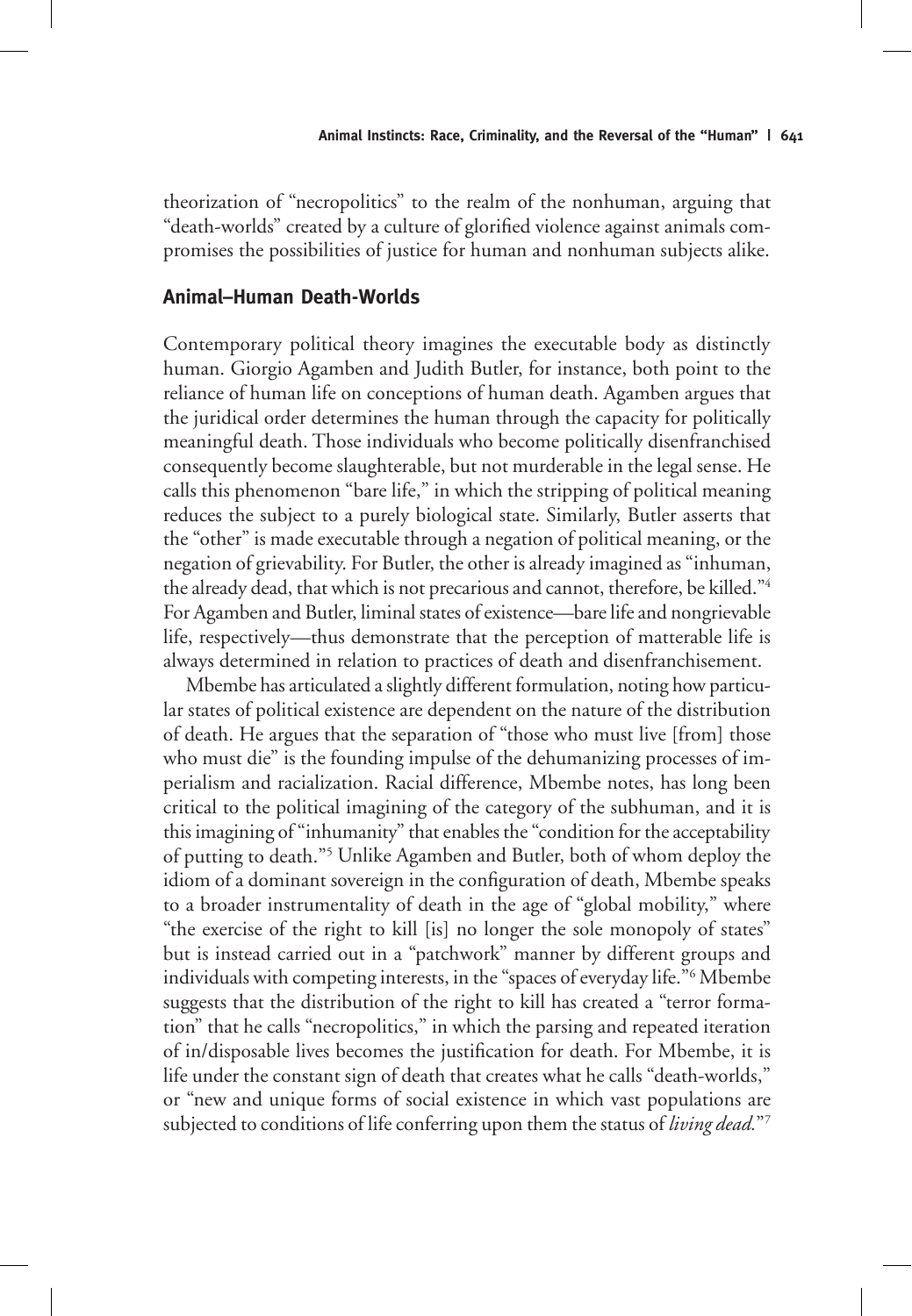theorization of "necropolitics" to the realm of the nonhuman, arguing that "death-worlds" created by a culture of glorified violence against animals compromises the possibilities of justice for human and nonhuman subjects alike.

#### **Animal–Human Death-Worlds**

Contemporary political theory imagines the executable body as distinctly human. Giorgio Agamben and Judith Butler, for instance, both point to the reliance of human life on conceptions of human death. Agamben argues that the juridical order determines the human through the capacity for politically meaningful death. Those individuals who become politically disenfranchised consequently become slaughterable, but not murderable in the legal sense. He calls this phenomenon "bare life," in which the stripping of political meaning reduces the subject to a purely biological state. Similarly, Butler asserts that the "other" is made executable through a negation of political meaning, or the negation of grievability. For Butler, the other is already imagined as "inhuman, the already dead, that which is not precarious and cannot, therefore, be killed."4 For Agamben and Butler, liminal states of existence—bare life and nongrievable life, respectively—thus demonstrate that the perception of matterable life is always determined in relation to practices of death and disenfranchisement.

Mbembe has articulated a slightly different formulation, noting how particular states of political existence are dependent on the nature of the distribution of death. He argues that the separation of "those who must live [from] those who must die" is the founding impulse of the dehumanizing processes of imperialism and racialization. Racial difference, Mbembe notes, has long been critical to the political imagining of the category of the subhuman, and it is this imagining of "inhumanity" that enables the "condition for the acceptability of putting to death."5 Unlike Agamben and Butler, both of whom deploy the idiom of a dominant sovereign in the configuration of death, Mbembe speaks to a broader instrumentality of death in the age of "global mobility," where "the exercise of the right to kill [is] no longer the sole monopoly of states" but is instead carried out in a "patchwork" manner by different groups and individuals with competing interests, in the "spaces of everyday life."6 Mbembe suggests that the distribution of the right to kill has created a "terror formation" that he calls "necropolitics," in which the parsing and repeated iteration of in/disposable lives becomes the justification for death. For Mbembe, it is life under the constant sign of death that creates what he calls "death-worlds," or "new and unique forms of social existence in which vast populations are subjected to conditions of life conferring upon them the status of *living dead.*"7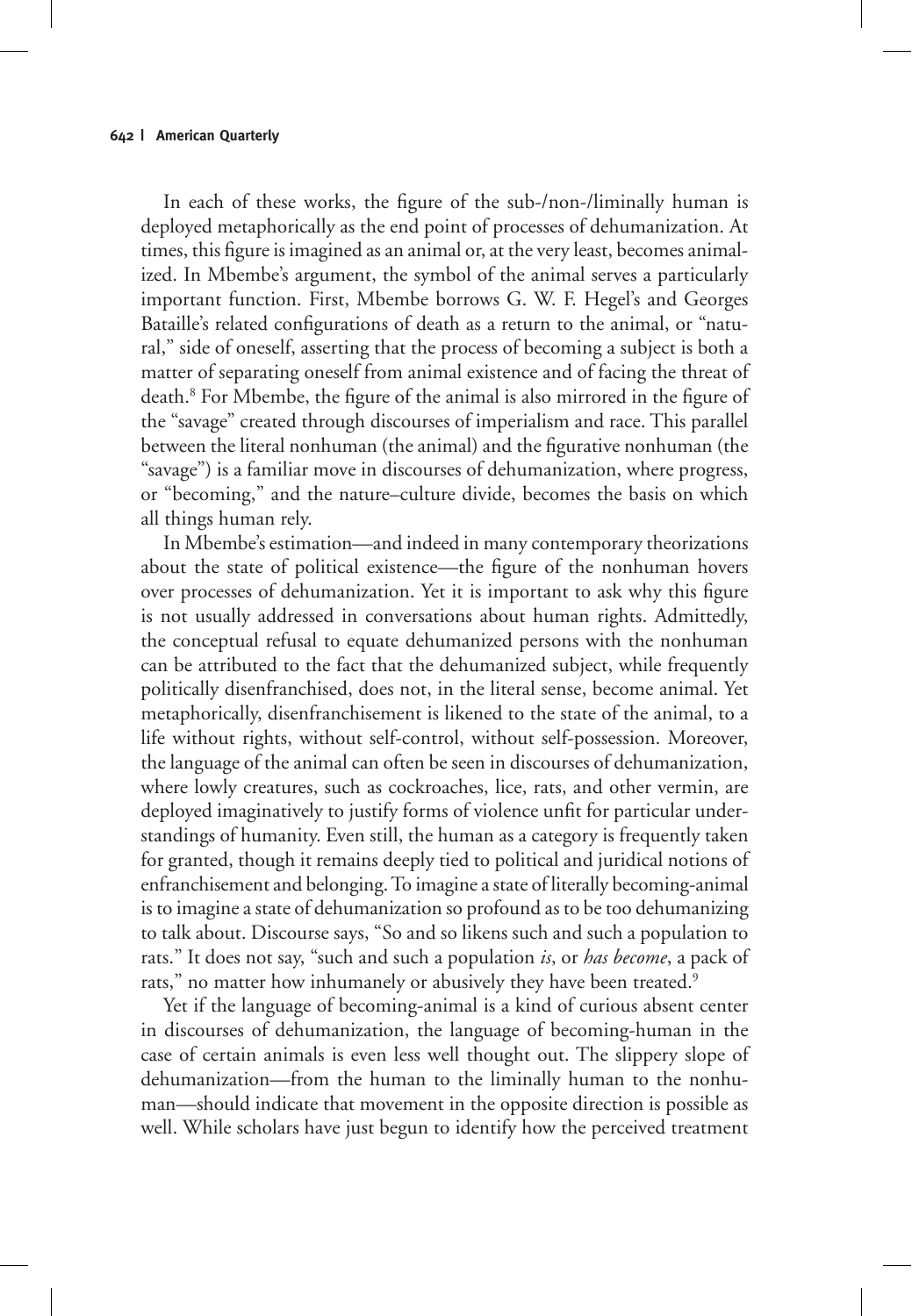In each of these works, the figure of the sub-/non-/liminally human is deployed metaphorically as the end point of processes of dehumanization. At times, this figure is imagined as an animal or, at the very least, becomes animalized. In Mbembe's argument, the symbol of the animal serves a particularly important function. First, Mbembe borrows G. W. F. Hegel's and Georges Bataille's related configurations of death as a return to the animal, or "natural," side of oneself, asserting that the process of becoming a subject is both a matter of separating oneself from animal existence and of facing the threat of death.8 For Mbembe, the figure of the animal is also mirrored in the figure of the "savage" created through discourses of imperialism and race. This parallel between the literal nonhuman (the animal) and the figurative nonhuman (the "savage") is a familiar move in discourses of dehumanization, where progress, or "becoming," and the nature–culture divide, becomes the basis on which all things human rely.

In Mbembe's estimation—and indeed in many contemporary theorizations about the state of political existence—the figure of the nonhuman hovers over processes of dehumanization. Yet it is important to ask why this figure is not usually addressed in conversations about human rights. Admittedly, the conceptual refusal to equate dehumanized persons with the nonhuman can be attributed to the fact that the dehumanized subject, while frequently politically disenfranchised, does not, in the literal sense, become animal. Yet metaphorically, disenfranchisement is likened to the state of the animal, to a life without rights, without self-control, without self-possession. Moreover, the language of the animal can often be seen in discourses of dehumanization, where lowly creatures, such as cockroaches, lice, rats, and other vermin, are deployed imaginatively to justify forms of violence unfit for particular understandings of humanity. Even still, the human as a category is frequently taken for granted, though it remains deeply tied to political and juridical notions of enfranchisement and belonging. To imagine a state of literally becoming-animal is to imagine a state of dehumanization so profound as to be too dehumanizing to talk about. Discourse says, "So and so likens such and such a population to rats." It does not say, "such and such a population *is*, or *has become*, a pack of rats," no matter how inhumanely or abusively they have been treated.<sup>9</sup>

Yet if the language of becoming-animal is a kind of curious absent center in discourses of dehumanization, the language of becoming-human in the case of certain animals is even less well thought out. The slippery slope of dehumanization—from the human to the liminally human to the nonhuman—should indicate that movement in the opposite direction is possible as well. While scholars have just begun to identify how the perceived treatment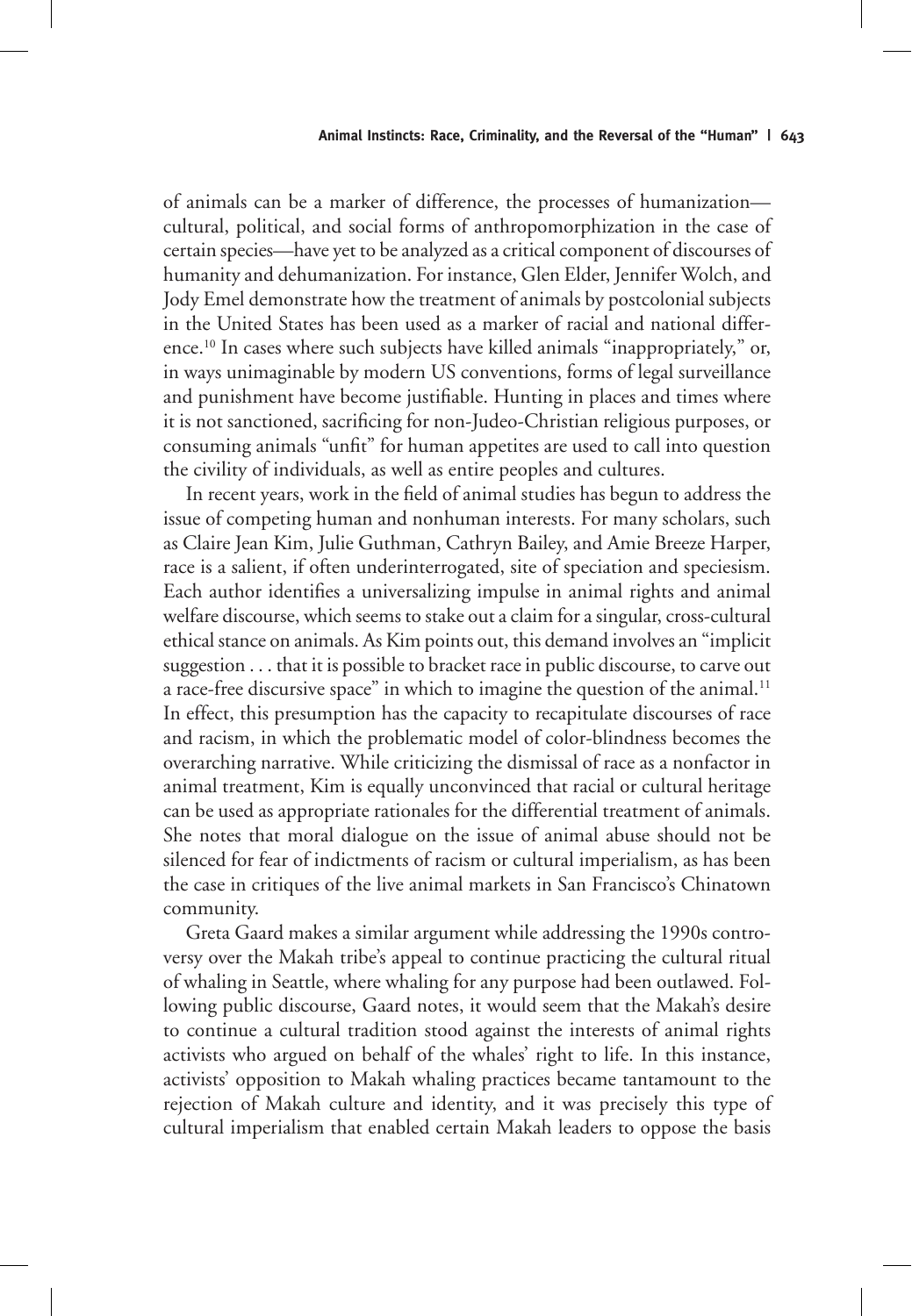of animals can be a marker of difference, the processes of humanization cultural, political, and social forms of anthropomorphization in the case of certain species—have yet to be analyzed as a critical component of discourses of humanity and dehumanization. For instance, Glen Elder, Jennifer Wolch, and Jody Emel demonstrate how the treatment of animals by postcolonial subjects in the United States has been used as a marker of racial and national difference.10 In cases where such subjects have killed animals "inappropriately," or, in ways unimaginable by modern US conventions, forms of legal surveillance and punishment have become justifiable. Hunting in places and times where it is not sanctioned, sacrificing for non-Judeo-Christian religious purposes, or consuming animals "unfit" for human appetites are used to call into question the civility of individuals, as well as entire peoples and cultures.

In recent years, work in the field of animal studies has begun to address the issue of competing human and nonhuman interests. For many scholars, such as Claire Jean Kim, Julie Guthman, Cathryn Bailey, and Amie Breeze Harper, race is a salient, if often underinterrogated, site of speciation and speciesism. Each author identifies a universalizing impulse in animal rights and animal welfare discourse, which seems to stake out a claim for a singular, cross-cultural ethical stance on animals. As Kim points out, this demand involves an "implicit suggestion . . . that it is possible to bracket race in public discourse, to carve out a race-free discursive space" in which to imagine the question of the animal.<sup>11</sup> In effect, this presumption has the capacity to recapitulate discourses of race and racism, in which the problematic model of color-blindness becomes the overarching narrative. While criticizing the dismissal of race as a nonfactor in animal treatment, Kim is equally unconvinced that racial or cultural heritage can be used as appropriate rationales for the differential treatment of animals. She notes that moral dialogue on the issue of animal abuse should not be silenced for fear of indictments of racism or cultural imperialism, as has been the case in critiques of the live animal markets in San Francisco's Chinatown community.

Greta Gaard makes a similar argument while addressing the 1990s controversy over the Makah tribe's appeal to continue practicing the cultural ritual of whaling in Seattle, where whaling for any purpose had been outlawed. Following public discourse, Gaard notes, it would seem that the Makah's desire to continue a cultural tradition stood against the interests of animal rights activists who argued on behalf of the whales' right to life. In this instance, activists' opposition to Makah whaling practices became tantamount to the rejection of Makah culture and identity, and it was precisely this type of cultural imperialism that enabled certain Makah leaders to oppose the basis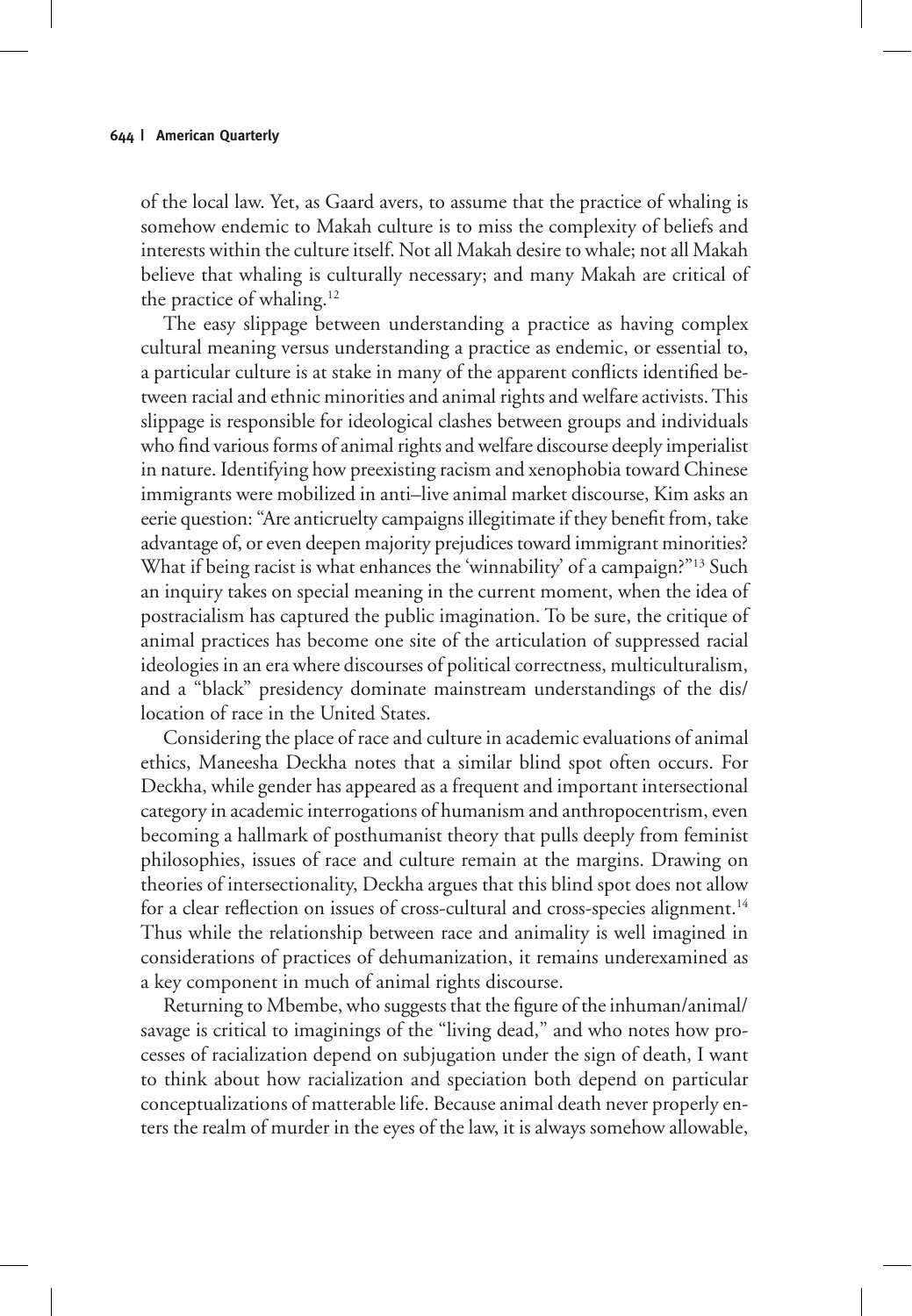of the local law. Yet, as Gaard avers, to assume that the practice of whaling is somehow endemic to Makah culture is to miss the complexity of beliefs and interests within the culture itself. Not all Makah desire to whale; not all Makah believe that whaling is culturally necessary; and many Makah are critical of the practice of whaling.<sup>12</sup>

The easy slippage between understanding a practice as having complex cultural meaning versus understanding a practice as endemic, or essential to, a particular culture is at stake in many of the apparent conflicts identified between racial and ethnic minorities and animal rights and welfare activists. This slippage is responsible for ideological clashes between groups and individuals who find various forms of animal rights and welfare discourse deeply imperialist in nature. Identifying how preexisting racism and xenophobia toward Chinese immigrants were mobilized in anti–live animal market discourse, Kim asks an eerie question: "Are anticruelty campaigns illegitimate if they benefit from, take advantage of, or even deepen majority prejudices toward immigrant minorities? What if being racist is what enhances the 'winnability' of a campaign?"<sup>13</sup> Such an inquiry takes on special meaning in the current moment, when the idea of postracialism has captured the public imagination. To be sure, the critique of animal practices has become one site of the articulation of suppressed racial ideologies in an era where discourses of political correctness, multiculturalism, and a "black" presidency dominate mainstream understandings of the dis/ location of race in the United States.

Considering the place of race and culture in academic evaluations of animal ethics, Maneesha Deckha notes that a similar blind spot often occurs. For Deckha, while gender has appeared as a frequent and important intersectional category in academic interrogations of humanism and anthropocentrism, even becoming a hallmark of posthumanist theory that pulls deeply from feminist philosophies, issues of race and culture remain at the margins. Drawing on theories of intersectionality, Deckha argues that this blind spot does not allow for a clear reflection on issues of cross-cultural and cross-species alignment.<sup>14</sup> Thus while the relationship between race and animality is well imagined in considerations of practices of dehumanization, it remains underexamined as a key component in much of animal rights discourse.

Returning to Mbembe, who suggests that the figure of the inhuman/animal/ savage is critical to imaginings of the "living dead," and who notes how processes of racialization depend on subjugation under the sign of death, I want to think about how racialization and speciation both depend on particular conceptualizations of matterable life. Because animal death never properly enters the realm of murder in the eyes of the law, it is always somehow allowable,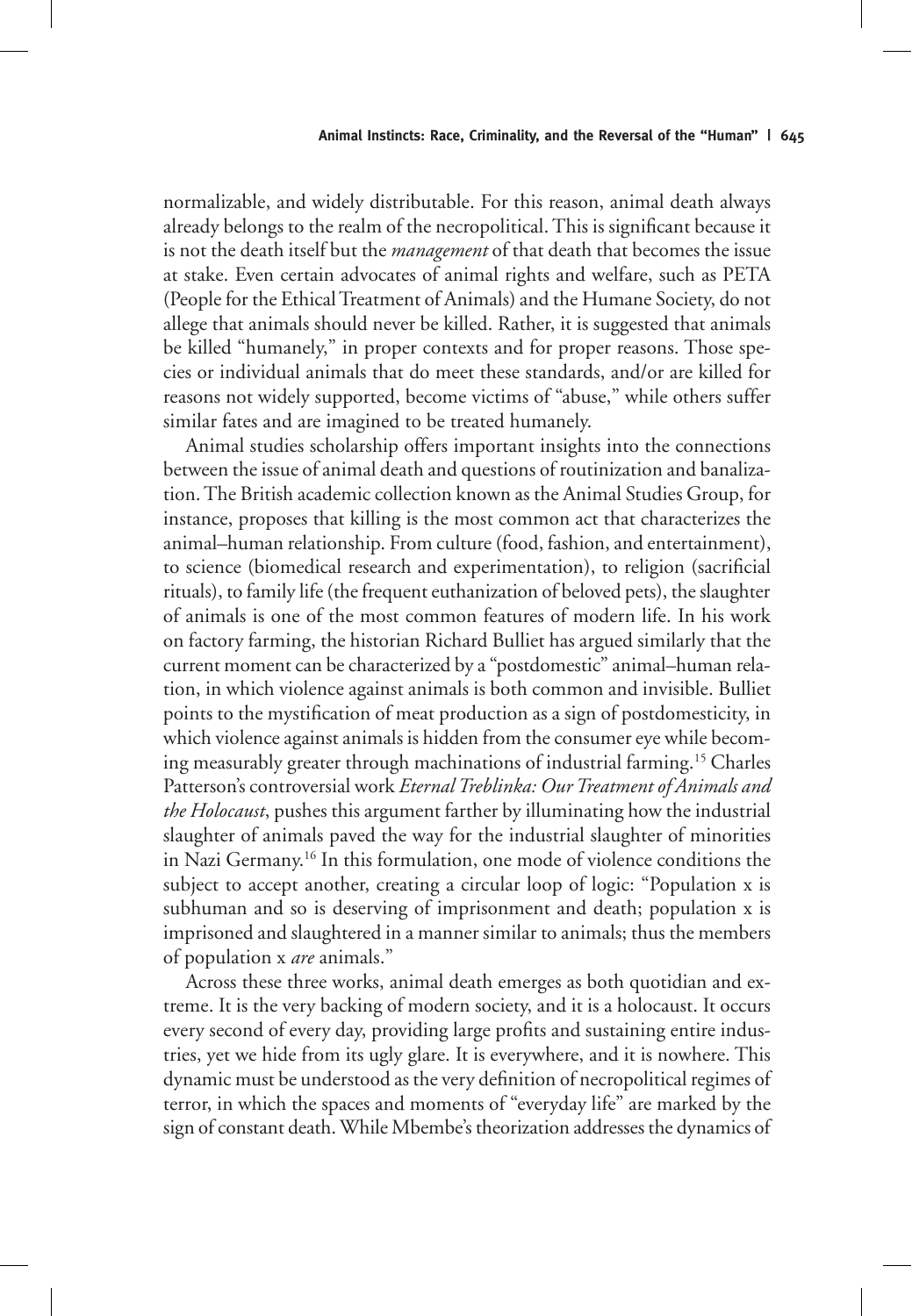normalizable, and widely distributable. For this reason, animal death always already belongs to the realm of the necropolitical. This is significant because it is not the death itself but the *management* of that death that becomes the issue at stake. Even certain advocates of animal rights and welfare, such as PETA (People for the Ethical Treatment of Animals) and the Humane Society, do not allege that animals should never be killed. Rather, it is suggested that animals be killed "humanely," in proper contexts and for proper reasons. Those species or individual animals that do meet these standards, and/or are killed for reasons not widely supported, become victims of "abuse," while others suffer similar fates and are imagined to be treated humanely.

Animal studies scholarship offers important insights into the connections between the issue of animal death and questions of routinization and banalization. The British academic collection known as the Animal Studies Group, for instance, proposes that killing is the most common act that characterizes the animal–human relationship. From culture (food, fashion, and entertainment), to science (biomedical research and experimentation), to religion (sacrificial rituals), to family life (the frequent euthanization of beloved pets), the slaughter of animals is one of the most common features of modern life. In his work on factory farming, the historian Richard Bulliet has argued similarly that the current moment can be characterized by a "postdomestic" animal–human relation, in which violence against animals is both common and invisible. Bulliet points to the mystification of meat production as a sign of postdomesticity, in which violence against animals is hidden from the consumer eye while becoming measurably greater through machinations of industrial farming.15 Charles Patterson's controversial work *Eternal Treblinka: Our Treatment of Animals and the Holocaust*, pushes this argument farther by illuminating how the industrial slaughter of animals paved the way for the industrial slaughter of minorities in Nazi Germany.16 In this formulation, one mode of violence conditions the subject to accept another, creating a circular loop of logic: "Population x is subhuman and so is deserving of imprisonment and death; population x is imprisoned and slaughtered in a manner similar to animals; thus the members of population x *are* animals."

Across these three works, animal death emerges as both quotidian and extreme. It is the very backing of modern society, and it is a holocaust. It occurs every second of every day, providing large profits and sustaining entire industries, yet we hide from its ugly glare. It is everywhere, and it is nowhere. This dynamic must be understood as the very definition of necropolitical regimes of terror, in which the spaces and moments of "everyday life" are marked by the sign of constant death. While Mbembe's theorization addresses the dynamics of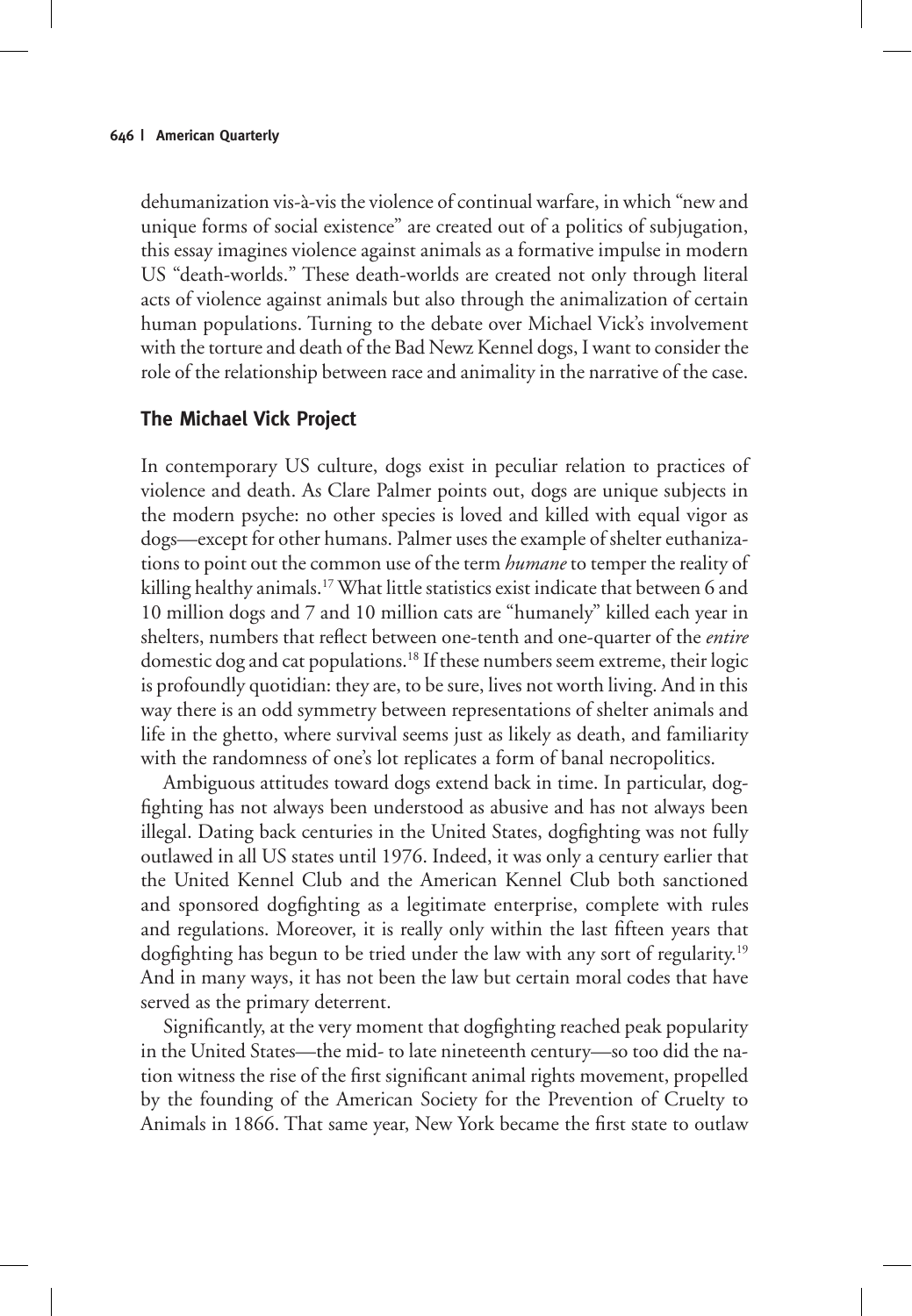dehumanization vis-à-vis the violence of continual warfare, in which "new and unique forms of social existence" are created out of a politics of subjugation, this essay imagines violence against animals as a formative impulse in modern US "death-worlds." These death-worlds are created not only through literal acts of violence against animals but also through the animalization of certain human populations. Turning to the debate over Michael Vick's involvement with the torture and death of the Bad Newz Kennel dogs, I want to consider the role of the relationship between race and animality in the narrative of the case.

## **The Michael Vick Project**

In contemporary US culture, dogs exist in peculiar relation to practices of violence and death. As Clare Palmer points out, dogs are unique subjects in the modern psyche: no other species is loved and killed with equal vigor as dogs—except for other humans. Palmer uses the example of shelter euthanizations to point out the common use of the term *humane* to temper the reality of killing healthy animals.<sup>17</sup> What little statistics exist indicate that between 6 and 10 million dogs and 7 and 10 million cats are "humanely" killed each year in shelters, numbers that reflect between one-tenth and one-quarter of the *entire*  domestic dog and cat populations.18 If these numbers seem extreme, their logic is profoundly quotidian: they are, to be sure, lives not worth living. And in this way there is an odd symmetry between representations of shelter animals and life in the ghetto, where survival seems just as likely as death, and familiarity with the randomness of one's lot replicates a form of banal necropolitics.

Ambiguous attitudes toward dogs extend back in time. In particular, dogfighting has not always been understood as abusive and has not always been illegal. Dating back centuries in the United States, dogfighting was not fully outlawed in all US states until 1976. Indeed, it was only a century earlier that the United Kennel Club and the American Kennel Club both sanctioned and sponsored dogfighting as a legitimate enterprise, complete with rules and regulations. Moreover, it is really only within the last fifteen years that dogfighting has begun to be tried under the law with any sort of regularity.<sup>19</sup> And in many ways, it has not been the law but certain moral codes that have served as the primary deterrent.

Significantly, at the very moment that dogfighting reached peak popularity in the United States—the mid- to late nineteenth century—so too did the nation witness the rise of the first significant animal rights movement, propelled by the founding of the American Society for the Prevention of Cruelty to Animals in 1866. That same year, New York became the first state to outlaw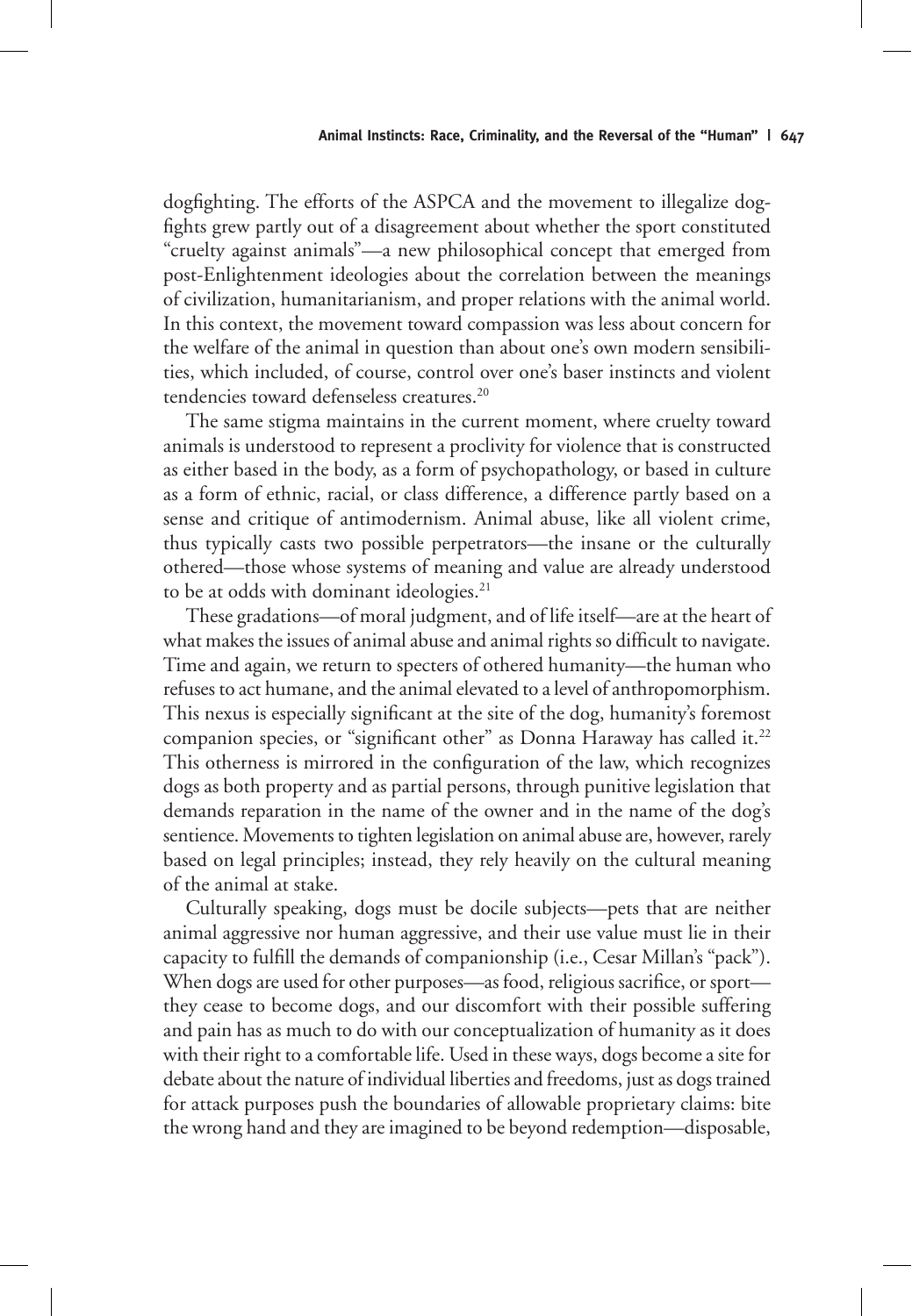dogfighting. The efforts of the ASPCA and the movement to illegalize dogfights grew partly out of a disagreement about whether the sport constituted "cruelty against animals"—a new philosophical concept that emerged from post-Enlightenment ideologies about the correlation between the meanings of civilization, humanitarianism, and proper relations with the animal world. In this context, the movement toward compassion was less about concern for the welfare of the animal in question than about one's own modern sensibilities, which included, of course, control over one's baser instincts and violent tendencies toward defenseless creatures.<sup>20</sup>

The same stigma maintains in the current moment, where cruelty toward animals is understood to represent a proclivity for violence that is constructed as either based in the body, as a form of psychopathology, or based in culture as a form of ethnic, racial, or class difference, a difference partly based on a sense and critique of antimodernism. Animal abuse, like all violent crime, thus typically casts two possible perpetrators—the insane or the culturally othered—those whose systems of meaning and value are already understood to be at odds with dominant ideologies.<sup>21</sup>

These gradations—of moral judgment, and of life itself—are at the heart of what makes the issues of animal abuse and animal rights so difficult to navigate. Time and again, we return to specters of othered humanity—the human who refuses to act humane, and the animal elevated to a level of anthropomorphism. This nexus is especially significant at the site of the dog, humanity's foremost companion species, or "significant other" as Donna Haraway has called it.<sup>22</sup> This otherness is mirrored in the configuration of the law, which recognizes dogs as both property and as partial persons, through punitive legislation that demands reparation in the name of the owner and in the name of the dog's sentience. Movements to tighten legislation on animal abuse are, however, rarely based on legal principles; instead, they rely heavily on the cultural meaning of the animal at stake.

Culturally speaking, dogs must be docile subjects—pets that are neither animal aggressive nor human aggressive, and their use value must lie in their capacity to fulfill the demands of companionship (i.e., Cesar Millan's "pack"). When dogs are used for other purposes—as food, religious sacrifice, or sport they cease to become dogs, and our discomfort with their possible suffering and pain has as much to do with our conceptualization of humanity as it does with their right to a comfortable life. Used in these ways, dogs become a site for debate about the nature of individual liberties and freedoms, just as dogs trained for attack purposes push the boundaries of allowable proprietary claims: bite the wrong hand and they are imagined to be beyond redemption—disposable,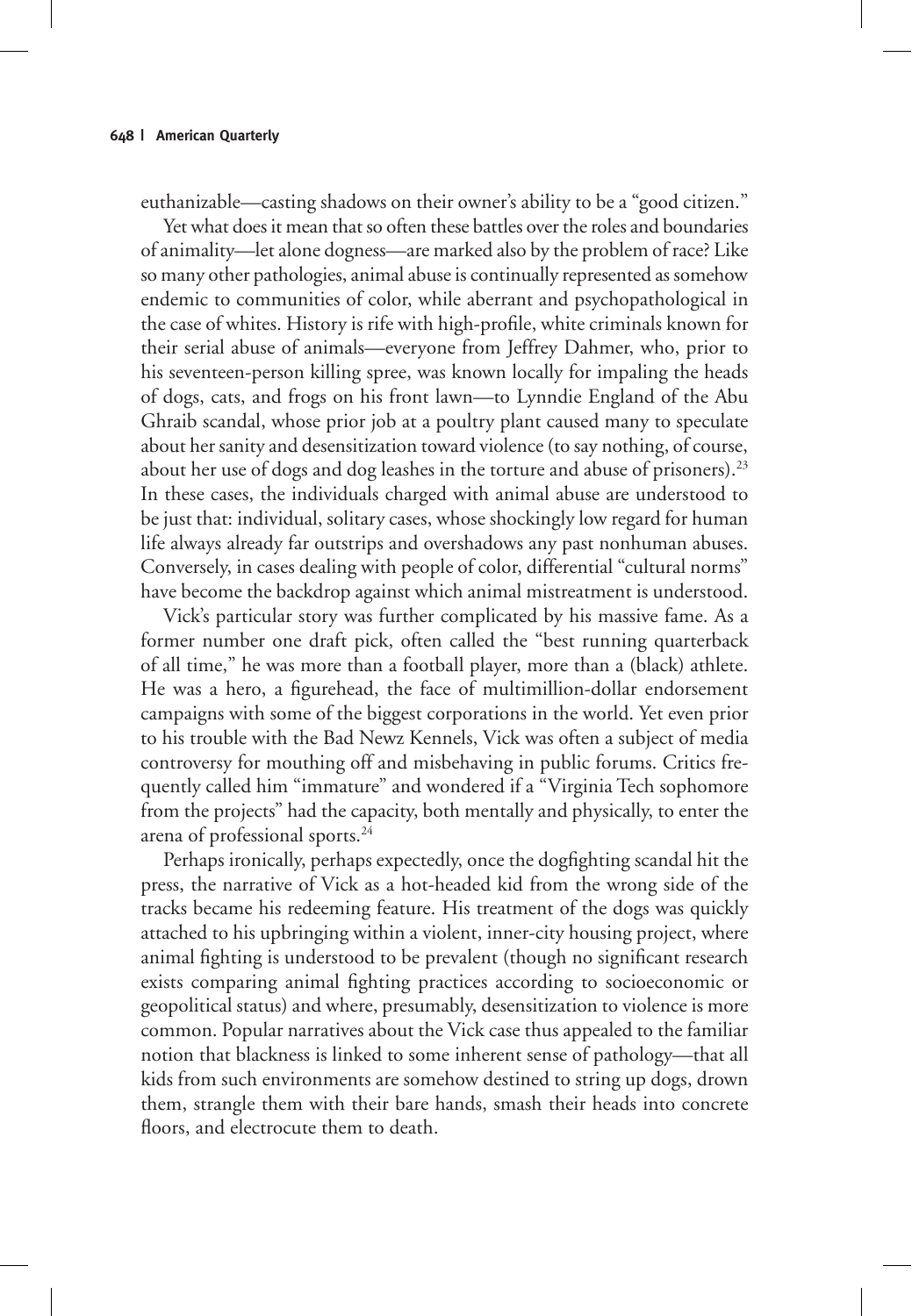euthanizable—casting shadows on their owner's ability to be a "good citizen."

Yet what does it mean that so often these battles over the roles and boundaries of animality—let alone dogness—are marked also by the problem of race? Like so many other pathologies, animal abuse is continually represented as somehow endemic to communities of color, while aberrant and psychopathological in the case of whites. History is rife with high-profile, white criminals known for their serial abuse of animals—everyone from Jeffrey Dahmer, who, prior to his seventeen-person killing spree, was known locally for impaling the heads of dogs, cats, and frogs on his front lawn—to Lynndie England of the Abu Ghraib scandal, whose prior job at a poultry plant caused many to speculate about her sanity and desensitization toward violence (to say nothing, of course, about her use of dogs and dog leashes in the torture and abuse of prisoners).<sup>23</sup> In these cases, the individuals charged with animal abuse are understood to be just that: individual, solitary cases, whose shockingly low regard for human life always already far outstrips and overshadows any past nonhuman abuses. Conversely, in cases dealing with people of color, differential "cultural norms" have become the backdrop against which animal mistreatment is understood.

Vick's particular story was further complicated by his massive fame. As a former number one draft pick, often called the "best running quarterback of all time," he was more than a football player, more than a (black) athlete. He was a hero, a figurehead, the face of multimillion-dollar endorsement campaigns with some of the biggest corporations in the world. Yet even prior to his trouble with the Bad Newz Kennels, Vick was often a subject of media controversy for mouthing off and misbehaving in public forums. Critics frequently called him "immature" and wondered if a "Virginia Tech sophomore from the projects" had the capacity, both mentally and physically, to enter the arena of professional sports.24

Perhaps ironically, perhaps expectedly, once the dogfighting scandal hit the press, the narrative of Vick as a hot-headed kid from the wrong side of the tracks became his redeeming feature. His treatment of the dogs was quickly attached to his upbringing within a violent, inner-city housing project, where animal fighting is understood to be prevalent (though no significant research exists comparing animal fighting practices according to socioeconomic or geopolitical status) and where, presumably, desensitization to violence is more common. Popular narratives about the Vick case thus appealed to the familiar notion that blackness is linked to some inherent sense of pathology—that all kids from such environments are somehow destined to string up dogs, drown them, strangle them with their bare hands, smash their heads into concrete floors, and electrocute them to death.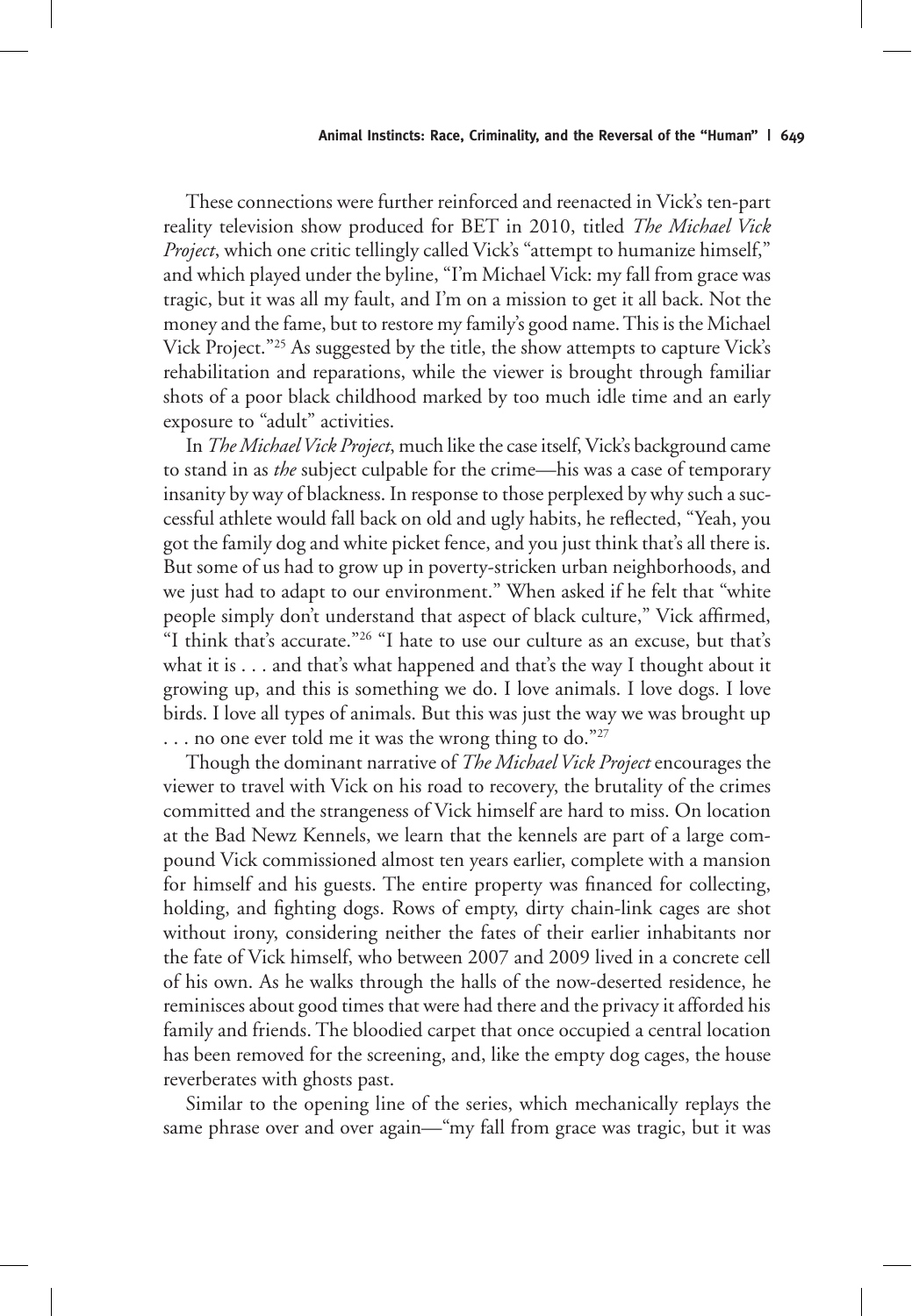These connections were further reinforced and reenacted in Vick's ten-part reality television show produced for BET in 2010, titled *The Michael Vick Project*, which one critic tellingly called Vick's "attempt to humanize himself," and which played under the byline, "I'm Michael Vick: my fall from grace was tragic, but it was all my fault, and I'm on a mission to get it all back. Not the money and the fame, but to restore my family's good name. This is the Michael Vick Project."25 As suggested by the title, the show attempts to capture Vick's rehabilitation and reparations, while the viewer is brought through familiar shots of a poor black childhood marked by too much idle time and an early exposure to "adult" activities.

In *The Michael Vick Project*, much like the case itself, Vick's background came to stand in as *the* subject culpable for the crime—his was a case of temporary insanity by way of blackness. In response to those perplexed by why such a successful athlete would fall back on old and ugly habits, he reflected, "Yeah, you got the family dog and white picket fence, and you just think that's all there is. But some of us had to grow up in poverty-stricken urban neighborhoods, and we just had to adapt to our environment." When asked if he felt that "white people simply don't understand that aspect of black culture," Vick affirmed, "I think that's accurate."<sup>26</sup> "I hate to use our culture as an excuse, but that's what it is . . . and that's what happened and that's the way I thought about it growing up, and this is something we do. I love animals. I love dogs. I love birds. I love all types of animals. But this was just the way we was brought up ... no one ever told me it was the wrong thing to do."27

Though the dominant narrative of *The Michael Vick Project* encourages the viewer to travel with Vick on his road to recovery, the brutality of the crimes committed and the strangeness of Vick himself are hard to miss. On location at the Bad Newz Kennels, we learn that the kennels are part of a large compound Vick commissioned almost ten years earlier, complete with a mansion for himself and his guests. The entire property was financed for collecting, holding, and fighting dogs. Rows of empty, dirty chain-link cages are shot without irony, considering neither the fates of their earlier inhabitants nor the fate of Vick himself, who between 2007 and 2009 lived in a concrete cell of his own. As he walks through the halls of the now-deserted residence, he reminisces about good times that were had there and the privacy it afforded his family and friends. The bloodied carpet that once occupied a central location has been removed for the screening, and, like the empty dog cages, the house reverberates with ghosts past.

Similar to the opening line of the series, which mechanically replays the same phrase over and over again—"my fall from grace was tragic, but it was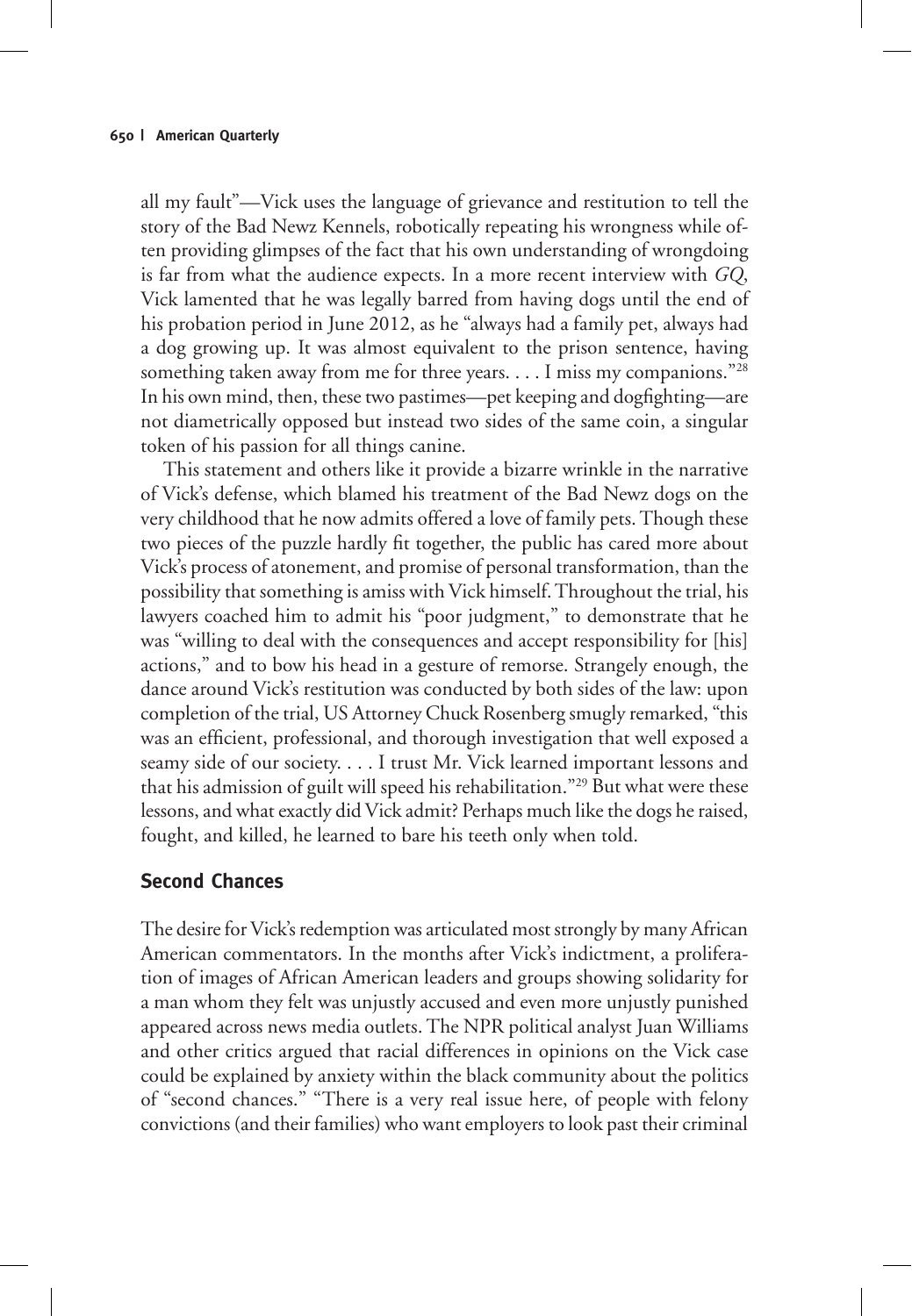all my fault"—Vick uses the language of grievance and restitution to tell the story of the Bad Newz Kennels, robotically repeating his wrongness while often providing glimpses of the fact that his own understanding of wrongdoing is far from what the audience expects. In a more recent interview with *GQ*, Vick lamented that he was legally barred from having dogs until the end of his probation period in June 2012, as he "always had a family pet, always had a dog growing up. It was almost equivalent to the prison sentence, having something taken away from me for three years. . . . I miss my companions."<sup>28</sup> In his own mind, then, these two pastimes—pet keeping and dogfighting—are not diametrically opposed but instead two sides of the same coin, a singular token of his passion for all things canine.

This statement and others like it provide a bizarre wrinkle in the narrative of Vick's defense, which blamed his treatment of the Bad Newz dogs on the very childhood that he now admits offered a love of family pets. Though these two pieces of the puzzle hardly fit together, the public has cared more about Vick's process of atonement, and promise of personal transformation, than the possibility that something is amiss with Vick himself. Throughout the trial, his lawyers coached him to admit his "poor judgment," to demonstrate that he was "willing to deal with the consequences and accept responsibility for [his] actions," and to bow his head in a gesture of remorse. Strangely enough, the dance around Vick's restitution was conducted by both sides of the law: upon completion of the trial, US Attorney Chuck Rosenberg smugly remarked, "this was an efficient, professional, and thorough investigation that well exposed a seamy side of our society. . . . I trust Mr. Vick learned important lessons and that his admission of guilt will speed his rehabilitation."29 But what were these lessons, and what exactly did Vick admit? Perhaps much like the dogs he raised, fought, and killed, he learned to bare his teeth only when told.

### **Second Chances**

The desire for Vick's redemption was articulated most strongly by many African American commentators. In the months after Vick's indictment, a proliferation of images of African American leaders and groups showing solidarity for a man whom they felt was unjustly accused and even more unjustly punished appeared across news media outlets. The NPR political analyst Juan Williams and other critics argued that racial differences in opinions on the Vick case could be explained by anxiety within the black community about the politics of "second chances." "There is a very real issue here, of people with felony convictions (and their families) who want employers to look past their criminal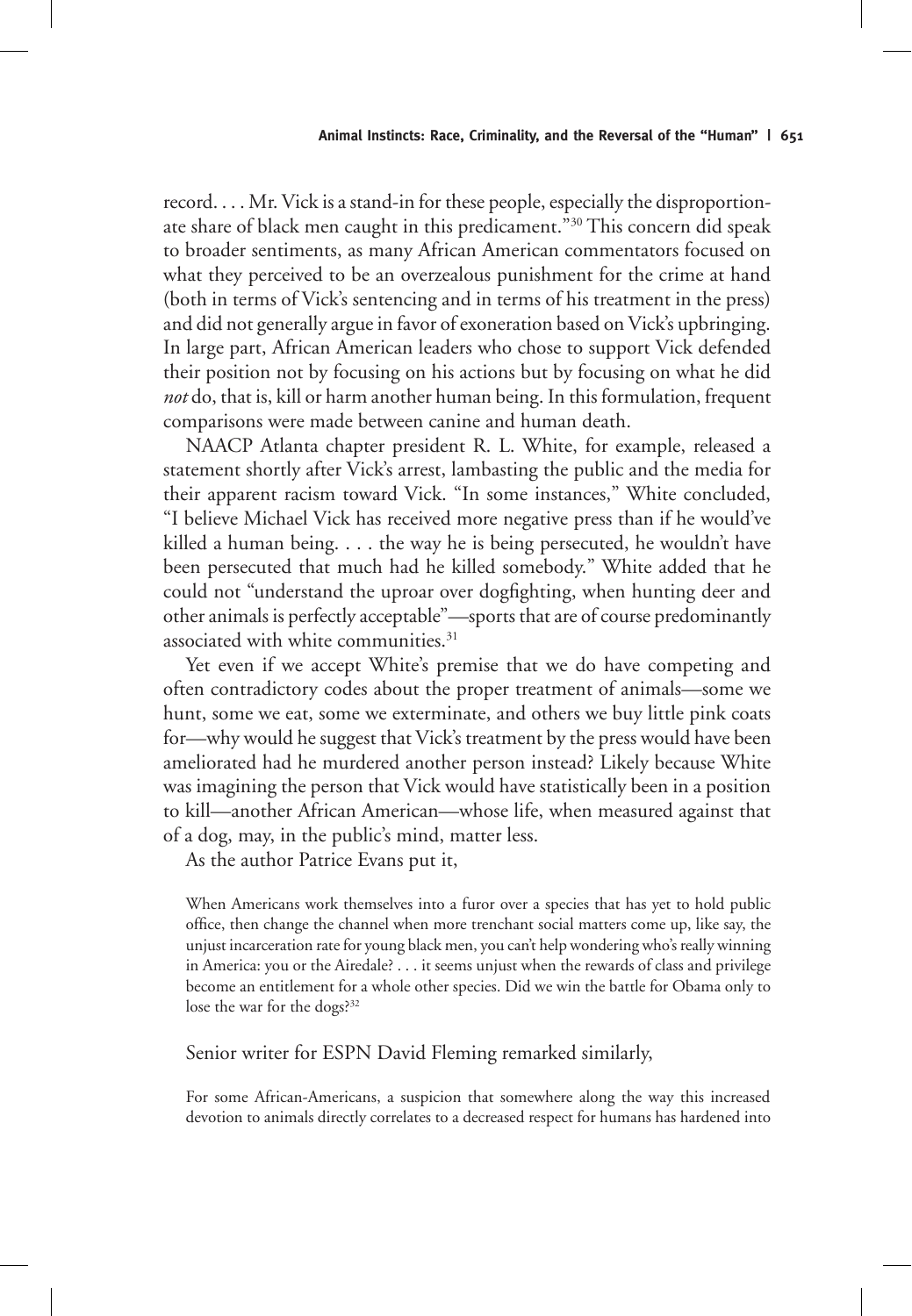record. . . . Mr. Vick is a stand-in for these people, especially the disproportionate share of black men caught in this predicament.<sup>"30</sup> This concern did speak to broader sentiments, as many African American commentators focused on what they perceived to be an overzealous punishment for the crime at hand (both in terms of Vick's sentencing and in terms of his treatment in the press) and did not generally argue in favor of exoneration based on Vick's upbringing. In large part, African American leaders who chose to support Vick defended their position not by focusing on his actions but by focusing on what he did *not* do, that is, kill or harm another human being. In this formulation, frequent comparisons were made between canine and human death.

NAACP Atlanta chapter president R. L. White, for example, released a statement shortly after Vick's arrest, lambasting the public and the media for their apparent racism toward Vick. "In some instances," White concluded, "I believe Michael Vick has received more negative press than if he would've killed a human being. . . . the way he is being persecuted, he wouldn't have been persecuted that much had he killed somebody." White added that he could not "understand the uproar over dogfighting, when hunting deer and other animals is perfectly acceptable"—sports that are of course predominantly associated with white communities.<sup>31</sup>

Yet even if we accept White's premise that we do have competing and often contradictory codes about the proper treatment of animals—some we hunt, some we eat, some we exterminate, and others we buy little pink coats for—why would he suggest that Vick's treatment by the press would have been ameliorated had he murdered another person instead? Likely because White was imagining the person that Vick would have statistically been in a position to kill—another African American—whose life, when measured against that of a dog, may, in the public's mind, matter less.

As the author Patrice Evans put it,

When Americans work themselves into a furor over a species that has yet to hold public office, then change the channel when more trenchant social matters come up, like say, the unjust incarceration rate for young black men, you can't help wondering who's really winning in America: you or the Airedale? . . . it seems unjust when the rewards of class and privilege become an entitlement for a whole other species. Did we win the battle for Obama only to lose the war for the dogs?32

### Senior writer for ESPN David Fleming remarked similarly,

For some African-Americans, a suspicion that somewhere along the way this increased devotion to animals directly correlates to a decreased respect for humans has hardened into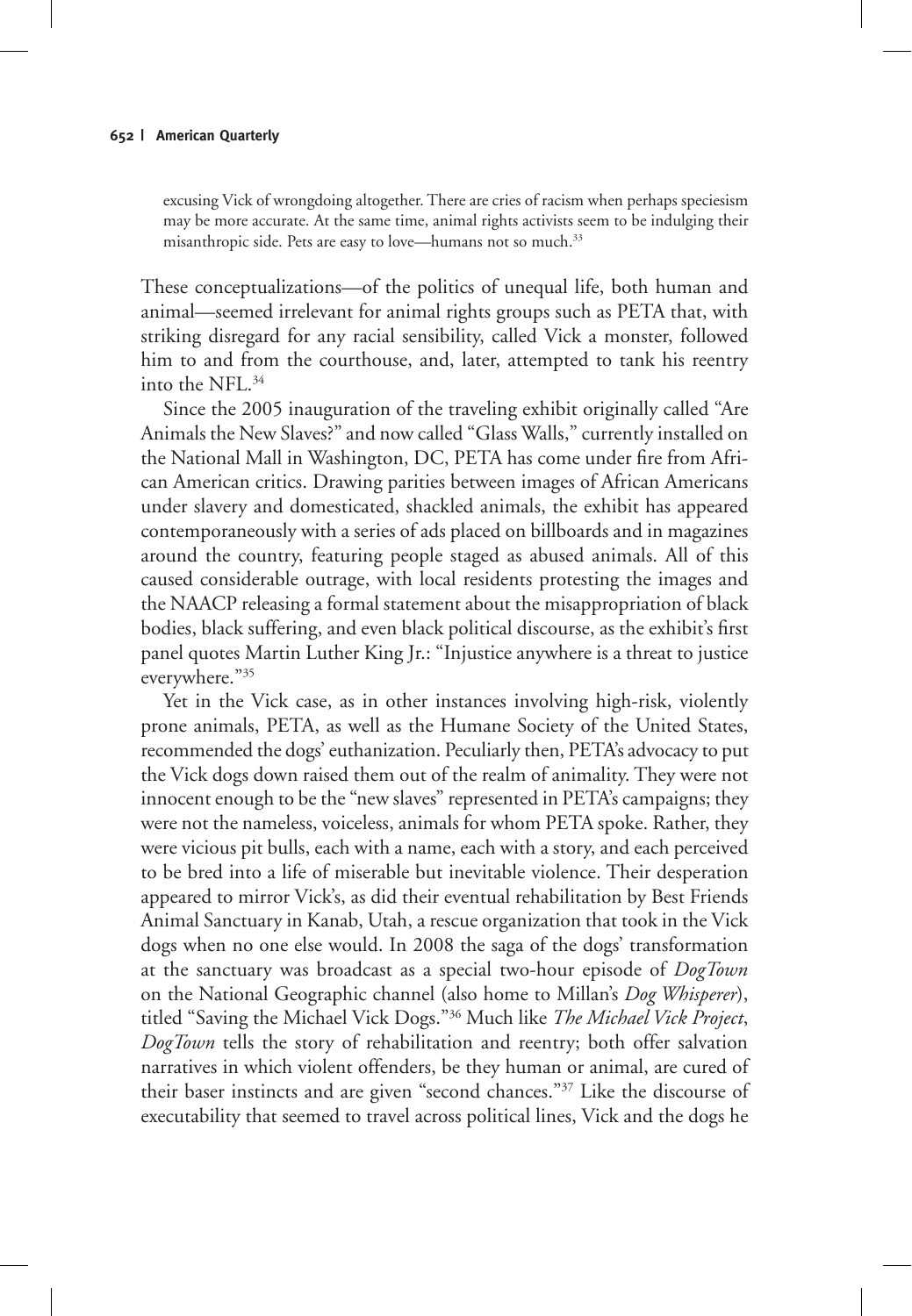excusing Vick of wrongdoing altogether. There are cries of racism when perhaps speciesism may be more accurate. At the same time, animal rights activists seem to be indulging their misanthropic side. Pets are easy to love—humans not so much.<sup>33</sup>

These conceptualizations—of the politics of unequal life, both human and animal—seemed irrelevant for animal rights groups such as PETA that, with striking disregard for any racial sensibility, called Vick a monster, followed him to and from the courthouse, and, later, attempted to tank his reentry into the NFL.34

Since the 2005 inauguration of the traveling exhibit originally called "Are Animals the New Slaves?" and now called "Glass Walls," currently installed on the National Mall in Washington, DC, PETA has come under fire from African American critics. Drawing parities between images of African Americans under slavery and domesticated, shackled animals, the exhibit has appeared contemporaneously with a series of ads placed on billboards and in magazines around the country, featuring people staged as abused animals. All of this caused considerable outrage, with local residents protesting the images and the NAACP releasing a formal statement about the misappropriation of black bodies, black suffering, and even black political discourse, as the exhibit's first panel quotes Martin Luther King Jr.: "Injustice anywhere is a threat to justice everywhere."35

Yet in the Vick case, as in other instances involving high-risk, violently prone animals, PETA, as well as the Humane Society of the United States, recommended the dogs' euthanization. Peculiarly then, PETA's advocacy to put the Vick dogs down raised them out of the realm of animality. They were not innocent enough to be the "new slaves" represented in PETA's campaigns; they were not the nameless, voiceless, animals for whom PETA spoke. Rather, they were vicious pit bulls, each with a name, each with a story, and each perceived to be bred into a life of miserable but inevitable violence. Their desperation appeared to mirror Vick's, as did their eventual rehabilitation by Best Friends Animal Sanctuary in Kanab, Utah, a rescue organization that took in the Vick dogs when no one else would. In 2008 the saga of the dogs' transformation at the sanctuary was broadcast as a special two-hour episode of *DogTown* on the National Geographic channel (also home to Millan's *Dog Whisperer*), titled "Saving the Michael Vick Dogs."36 Much like *The Michael Vick Project*, *DogTown* tells the story of rehabilitation and reentry; both offer salvation narratives in which violent offenders, be they human or animal, are cured of their baser instincts and are given "second chances."37 Like the discourse of executability that seemed to travel across political lines, Vick and the dogs he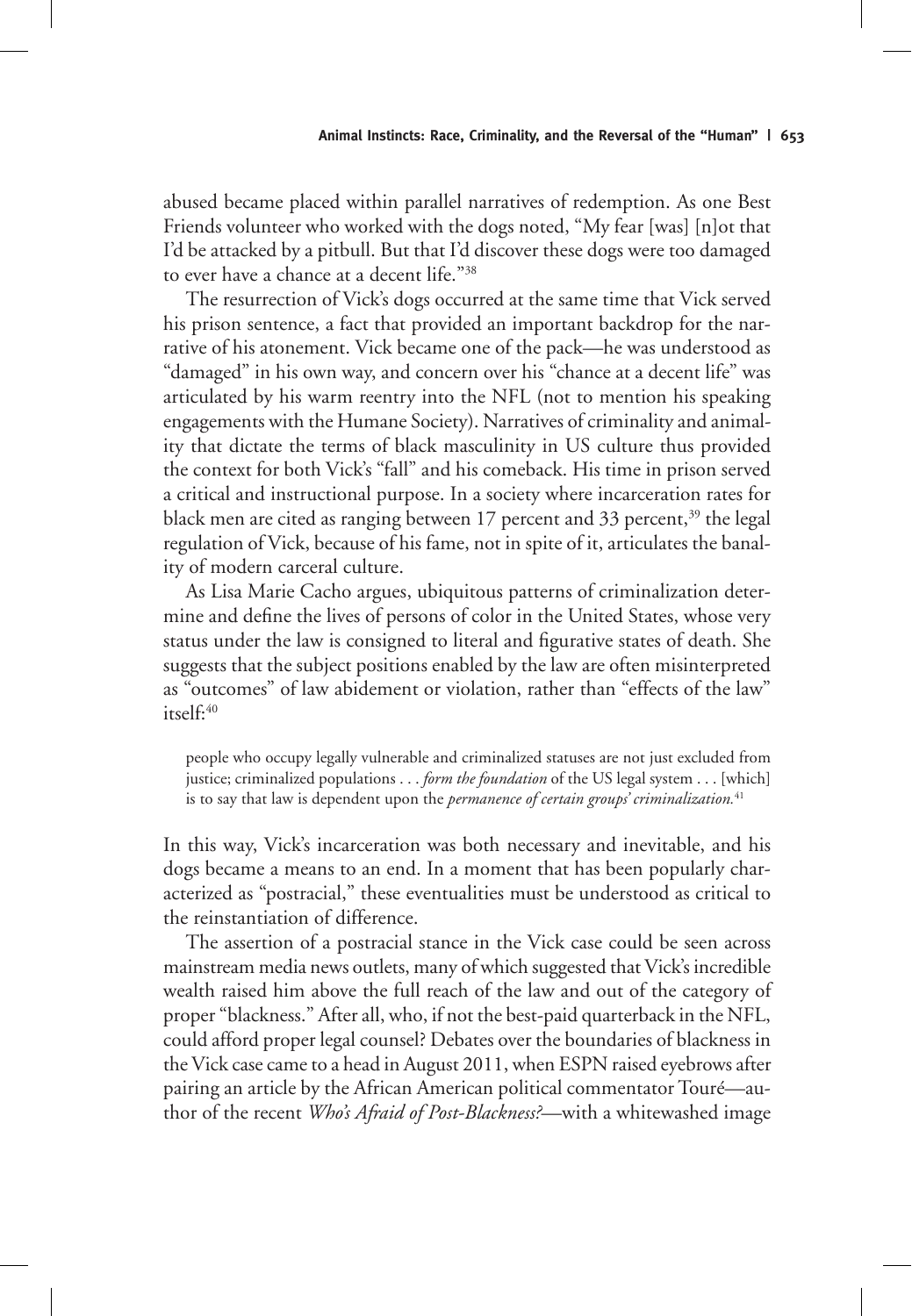abused became placed within parallel narratives of redemption. As one Best Friends volunteer who worked with the dogs noted, "My fear [was] [n]ot that I'd be attacked by a pitbull. But that I'd discover these dogs were too damaged to ever have a chance at a decent life."38

The resurrection of Vick's dogs occurred at the same time that Vick served his prison sentence, a fact that provided an important backdrop for the narrative of his atonement. Vick became one of the pack—he was understood as "damaged" in his own way, and concern over his "chance at a decent life" was articulated by his warm reentry into the NFL (not to mention his speaking engagements with the Humane Society). Narratives of criminality and animality that dictate the terms of black masculinity in US culture thus provided the context for both Vick's "fall" and his comeback. His time in prison served a critical and instructional purpose. In a society where incarceration rates for black men are cited as ranging between 17 percent and 33 percent,<sup>39</sup> the legal regulation of Vick, because of his fame, not in spite of it, articulates the banality of modern carceral culture.

As Lisa Marie Cacho argues, ubiquitous patterns of criminalization determine and define the lives of persons of color in the United States, whose very status under the law is consigned to literal and figurative states of death. She suggests that the subject positions enabled by the law are often misinterpreted as "outcomes" of law abidement or violation, rather than "effects of the law" itself:40

people who occupy legally vulnerable and criminalized statuses are not just excluded from justice; criminalized populations . . . *form the foundation* of the US legal system . . . [which] is to say that law is dependent upon the *permanence of certain groups' criminalization.*<sup>41</sup>

In this way, Vick's incarceration was both necessary and inevitable, and his dogs became a means to an end. In a moment that has been popularly characterized as "postracial," these eventualities must be understood as critical to the reinstantiation of difference.

The assertion of a postracial stance in the Vick case could be seen across mainstream media news outlets, many of which suggested that Vick's incredible wealth raised him above the full reach of the law and out of the category of proper "blackness." After all, who, if not the best-paid quarterback in the NFL, could afford proper legal counsel? Debates over the boundaries of blackness in the Vick case came to a head in August 2011, when ESPN raised eyebrows after pairing an article by the African American political commentator Touré—author of the recent *Who's Afraid of Post-Blackness?*—with a whitewashed image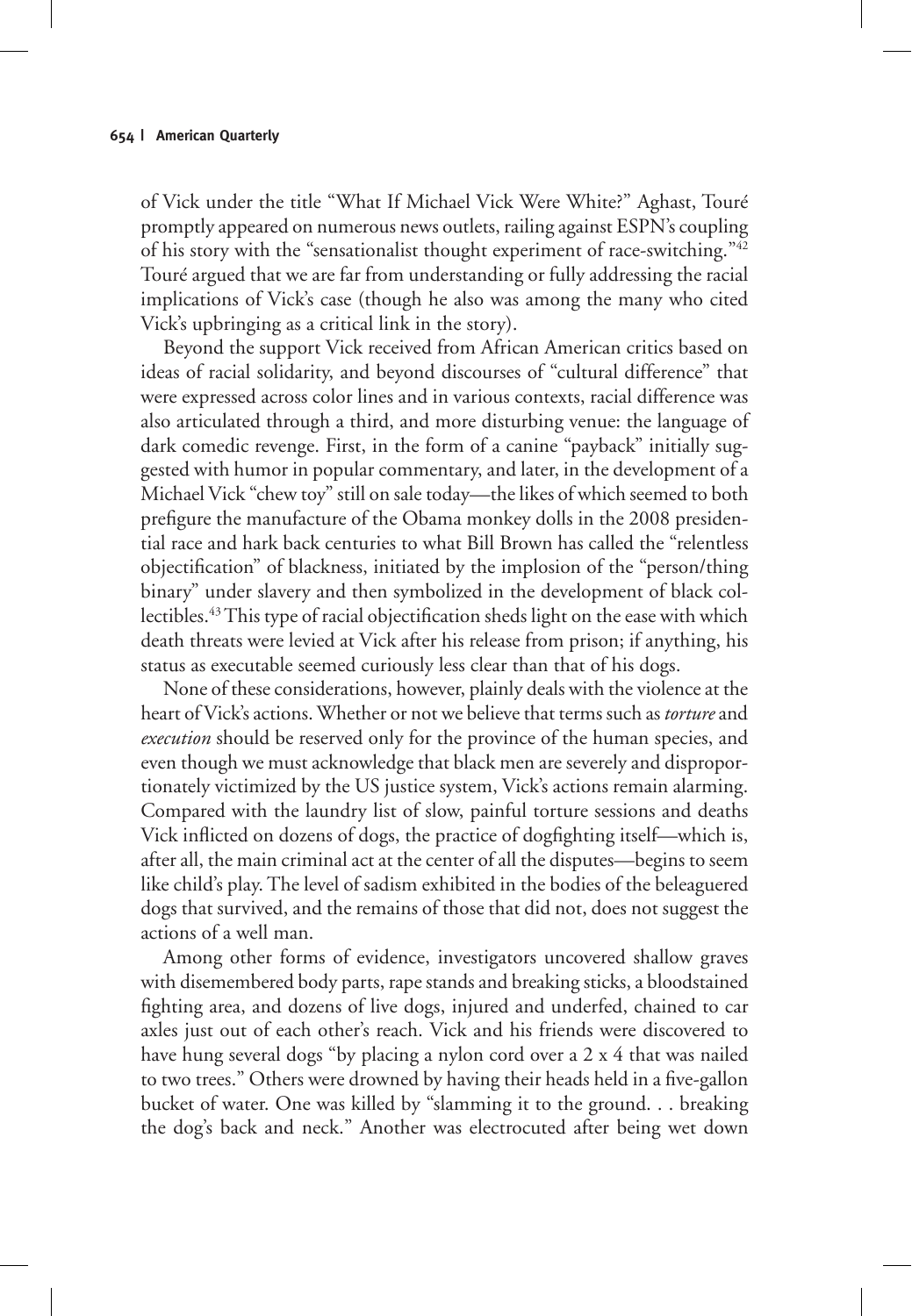of Vick under the title "What If Michael Vick Were White?" Aghast, Touré promptly appeared on numerous news outlets, railing against ESPN's coupling of his story with the "sensationalist thought experiment of race-switching."42 Touré argued that we are far from understanding or fully addressing the racial implications of Vick's case (though he also was among the many who cited Vick's upbringing as a critical link in the story).

Beyond the support Vick received from African American critics based on ideas of racial solidarity, and beyond discourses of "cultural difference" that were expressed across color lines and in various contexts, racial difference was also articulated through a third, and more disturbing venue: the language of dark comedic revenge. First, in the form of a canine "payback" initially suggested with humor in popular commentary, and later, in the development of a Michael Vick "chew toy" still on sale today—the likes of which seemed to both prefigure the manufacture of the Obama monkey dolls in the 2008 presidential race and hark back centuries to what Bill Brown has called the "relentless objectification" of blackness, initiated by the implosion of the "person/thing binary" under slavery and then symbolized in the development of black collectibles.43 This type of racial objectification sheds light on the ease with which death threats were levied at Vick after his release from prison; if anything, his status as executable seemed curiously less clear than that of his dogs.

None of these considerations, however, plainly deals with the violence at the heart of Vick's actions. Whether or not we believe that terms such as *torture* and *execution* should be reserved only for the province of the human species, and even though we must acknowledge that black men are severely and disproportionately victimized by the US justice system, Vick's actions remain alarming. Compared with the laundry list of slow, painful torture sessions and deaths Vick inflicted on dozens of dogs, the practice of dogfighting itself—which is, after all, the main criminal act at the center of all the disputes—begins to seem like child's play. The level of sadism exhibited in the bodies of the beleaguered dogs that survived, and the remains of those that did not, does not suggest the actions of a well man.

Among other forms of evidence, investigators uncovered shallow graves with disemembered body parts, rape stands and breaking sticks, a bloodstained fighting area, and dozens of live dogs, injured and underfed, chained to car axles just out of each other's reach. Vick and his friends were discovered to have hung several dogs "by placing a nylon cord over a 2 x 4 that was nailed to two trees." Others were drowned by having their heads held in a five-gallon bucket of water. One was killed by "slamming it to the ground. . . breaking the dog's back and neck." Another was electrocuted after being wet down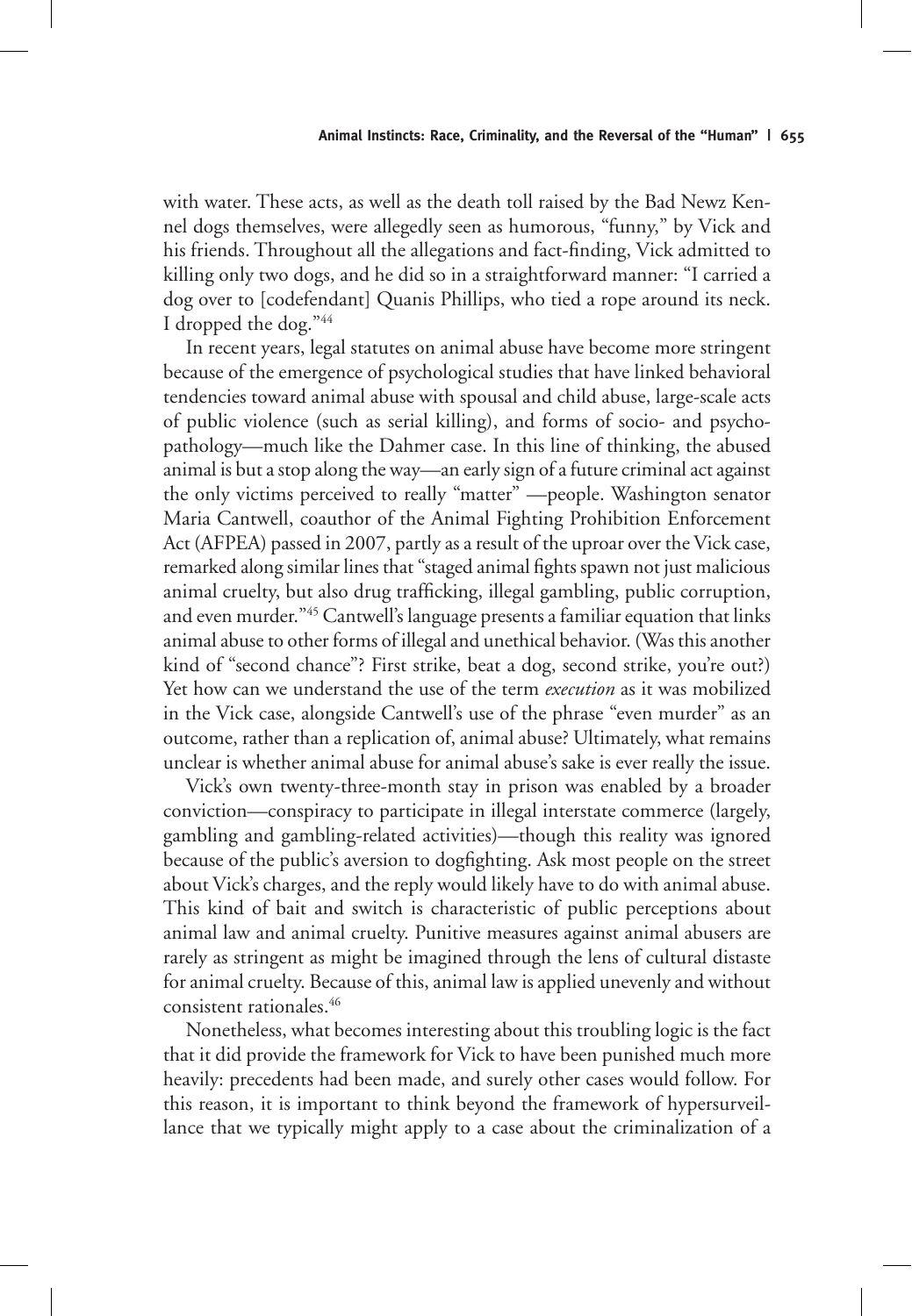with water. These acts, as well as the death toll raised by the Bad Newz Kennel dogs themselves, were allegedly seen as humorous, "funny," by Vick and his friends. Throughout all the allegations and fact-finding, Vick admitted to killing only two dogs, and he did so in a straightforward manner: "I carried a dog over to [codefendant] Quanis Phillips, who tied a rope around its neck. I dropped the dog."44

In recent years, legal statutes on animal abuse have become more stringent because of the emergence of psychological studies that have linked behavioral tendencies toward animal abuse with spousal and child abuse, large-scale acts of public violence (such as serial killing), and forms of socio- and psychopathology—much like the Dahmer case. In this line of thinking, the abused animal is but a stop along the way—an early sign of a future criminal act against the only victims perceived to really "matter" —people. Washington senator Maria Cantwell, coauthor of the Animal Fighting Prohibition Enforcement Act (AFPEA) passed in 2007, partly as a result of the uproar over the Vick case, remarked along similar lines that "staged animal fights spawn not just malicious animal cruelty, but also drug trafficking, illegal gambling, public corruption, and even murder."45 Cantwell's language presents a familiar equation that links animal abuse to other forms of illegal and unethical behavior. (Was this another kind of "second chance"? First strike, beat a dog, second strike, you're out?) Yet how can we understand the use of the term *execution* as it was mobilized in the Vick case, alongside Cantwell's use of the phrase "even murder" as an outcome, rather than a replication of, animal abuse? Ultimately, what remains unclear is whether animal abuse for animal abuse's sake is ever really the issue.

Vick's own twenty-three-month stay in prison was enabled by a broader conviction—conspiracy to participate in illegal interstate commerce (largely, gambling and gambling-related activities)—though this reality was ignored because of the public's aversion to dogfighting. Ask most people on the street about Vick's charges, and the reply would likely have to do with animal abuse. This kind of bait and switch is characteristic of public perceptions about animal law and animal cruelty. Punitive measures against animal abusers are rarely as stringent as might be imagined through the lens of cultural distaste for animal cruelty. Because of this, animal law is applied unevenly and without consistent rationales.<sup>46</sup>

Nonetheless, what becomes interesting about this troubling logic is the fact that it did provide the framework for Vick to have been punished much more heavily: precedents had been made, and surely other cases would follow. For this reason, it is important to think beyond the framework of hypersurveillance that we typically might apply to a case about the criminalization of a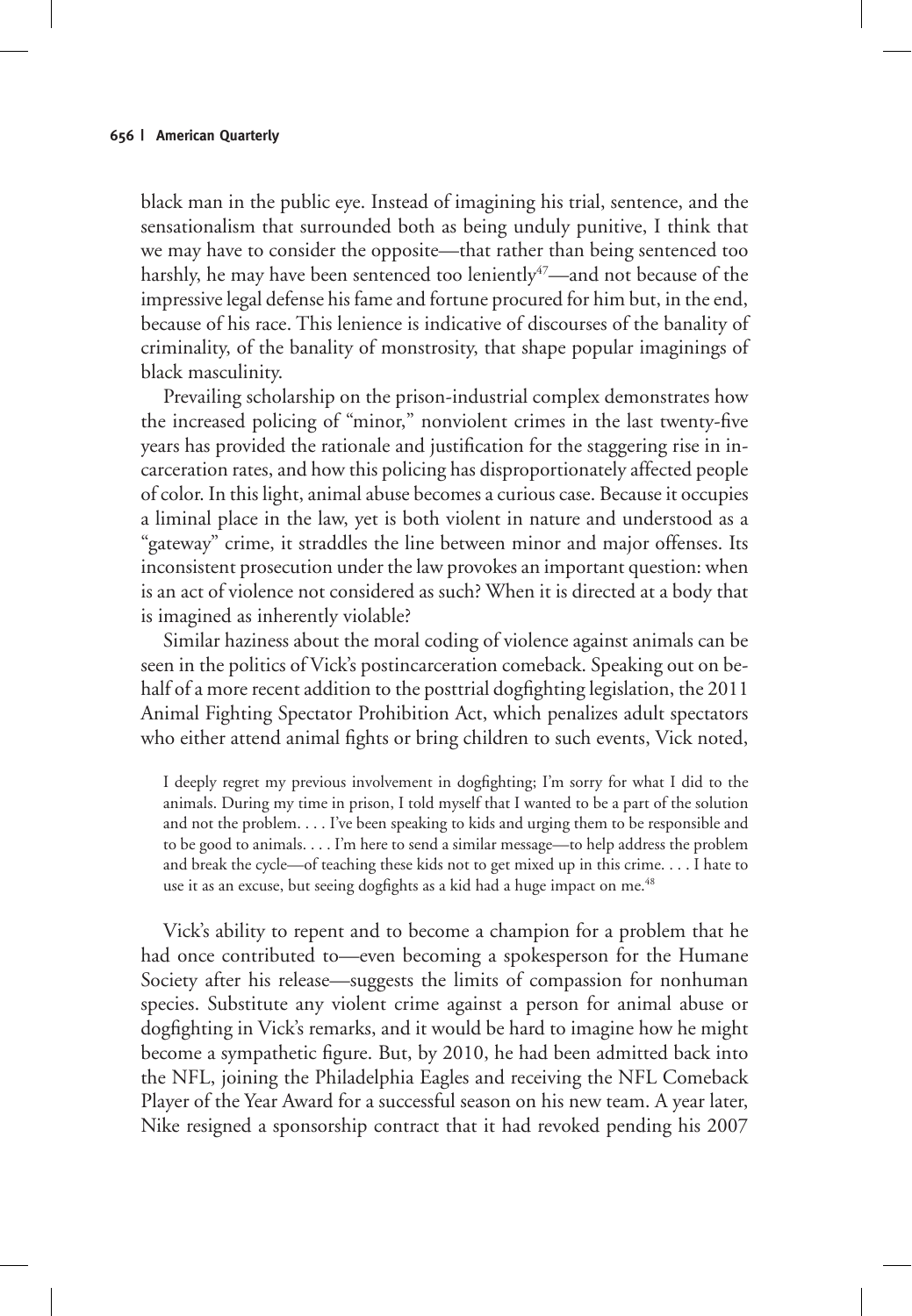black man in the public eye. Instead of imagining his trial, sentence, and the sensationalism that surrounded both as being unduly punitive, I think that we may have to consider the opposite—that rather than being sentenced too harshly, he may have been sentenced too leniently<sup>47</sup>—and not because of the impressive legal defense his fame and fortune procured for him but, in the end, because of his race. This lenience is indicative of discourses of the banality of criminality, of the banality of monstrosity, that shape popular imaginings of black masculinity.

Prevailing scholarship on the prison-industrial complex demonstrates how the increased policing of "minor," nonviolent crimes in the last twenty-five years has provided the rationale and justification for the staggering rise in incarceration rates, and how this policing has disproportionately affected people of color. In this light, animal abuse becomes a curious case. Because it occupies a liminal place in the law, yet is both violent in nature and understood as a "gateway" crime, it straddles the line between minor and major offenses. Its inconsistent prosecution under the law provokes an important question: when is an act of violence not considered as such? When it is directed at a body that is imagined as inherently violable?

Similar haziness about the moral coding of violence against animals can be seen in the politics of Vick's postincarceration comeback. Speaking out on behalf of a more recent addition to the posttrial dogfighting legislation, the 2011 Animal Fighting Spectator Prohibition Act, which penalizes adult spectators who either attend animal fights or bring children to such events, Vick noted,

I deeply regret my previous involvement in dogfighting; I'm sorry for what I did to the animals. During my time in prison, I told myself that I wanted to be a part of the solution and not the problem. . . . I've been speaking to kids and urging them to be responsible and to be good to animals. . . . I'm here to send a similar message—to help address the problem and break the cycle—of teaching these kids not to get mixed up in this crime. . . . I hate to use it as an excuse, but seeing dogfights as a kid had a huge impact on me.<sup>48</sup>

Vick's ability to repent and to become a champion for a problem that he had once contributed to—even becoming a spokesperson for the Humane Society after his release—suggests the limits of compassion for nonhuman species. Substitute any violent crime against a person for animal abuse or dogfighting in Vick's remarks, and it would be hard to imagine how he might become a sympathetic figure. But, by 2010, he had been admitted back into the NFL, joining the Philadelphia Eagles and receiving the NFL Comeback Player of the Year Award for a successful season on his new team. A year later, Nike resigned a sponsorship contract that it had revoked pending his 2007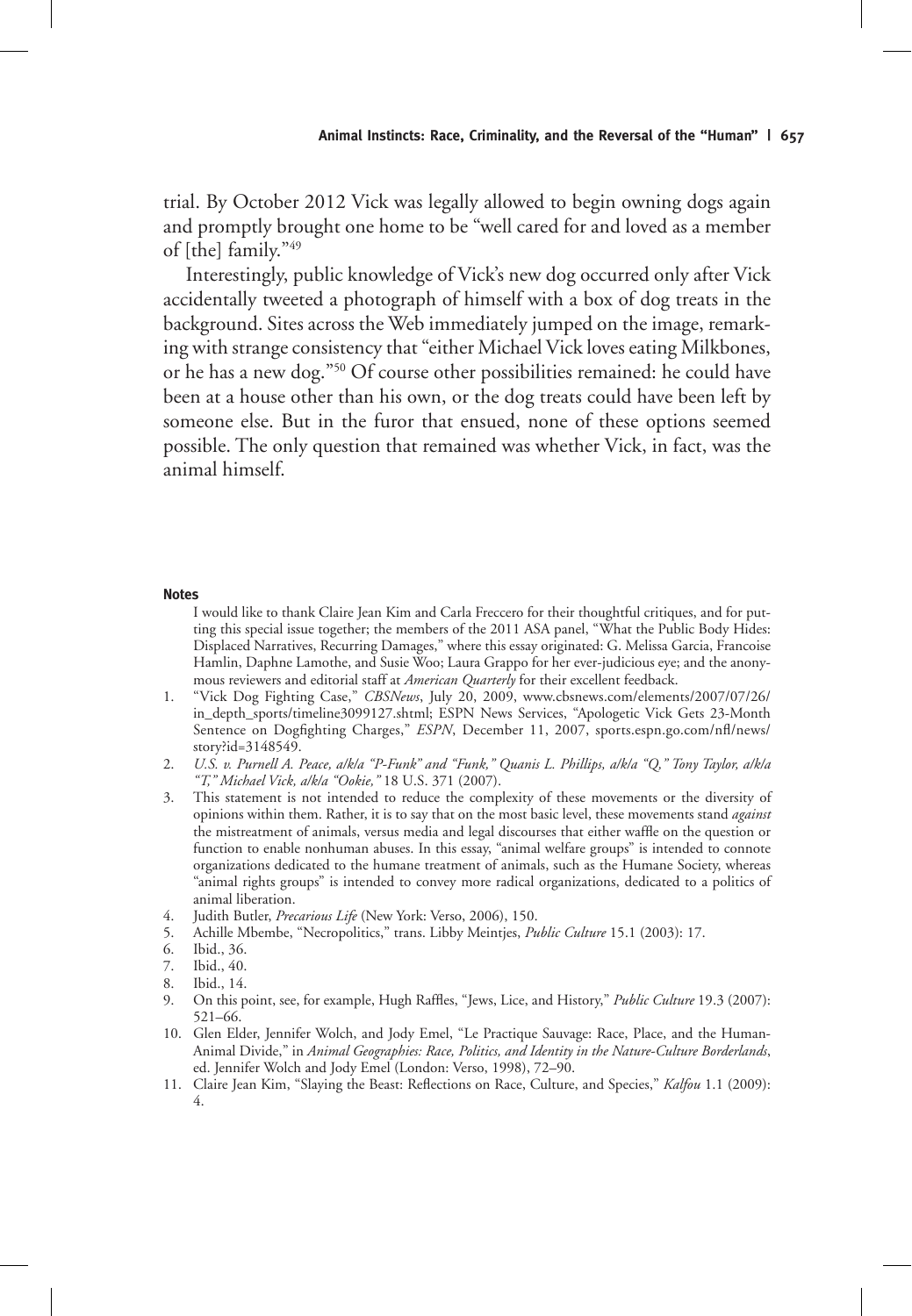trial. By October 2012 Vick was legally allowed to begin owning dogs again and promptly brought one home to be "well cared for and loved as a member of [the] family."49

Interestingly, public knowledge of Vick's new dog occurred only after Vick accidentally tweeted a photograph of himself with a box of dog treats in the background. Sites across the Web immediately jumped on the image, remarking with strange consistency that "either Michael Vick loves eating Milkbones, or he has a new dog."50 Of course other possibilities remained: he could have been at a house other than his own, or the dog treats could have been left by someone else. But in the furor that ensued, none of these options seemed possible. The only question that remained was whether Vick, in fact, was the animal himself.

#### **Notes**

I would like to thank Claire Jean Kim and Carla Freccero for their thoughtful critiques, and for putting this special issue together; the members of the 2011 ASA panel, "What the Public Body Hides: Displaced Narratives, Recurring Damages," where this essay originated: G. Melissa Garcia, Francoise Hamlin, Daphne Lamothe, and Susie Woo; Laura Grappo for her ever-judicious eye; and the anonymous reviewers and editorial staff at *American Quarterly* for their excellent feedback.

- 1. "Vick Dog Fighting Case," *CBSNews*, July 20, 2009, www.cbsnews.com/elements/2007/07/26/ in\_depth\_sports/timeline3099127.shtml; ESPN News Services, "Apologetic Vick Gets 23-Month Sentence on Dogfighting Charges," *ESPN*, December 11, 2007, sports.espn.go.com/nfl/news/ story?id=3148549.
- 2. *U.S. v. Purnell A. Peace, a/k/a "P-Funk" and "Funk," Quanis L. Phillips, a/k/a "Q," Tony Taylor, a/k/a "T," Michael Vick, a/k/a "Ookie,"* 18 U.S. 371 (2007).
- 3. This statement is not intended to reduce the complexity of these movements or the diversity of opinions within them. Rather, it is to say that on the most basic level, these movements stand *against*  the mistreatment of animals, versus media and legal discourses that either waffle on the question or function to enable nonhuman abuses. In this essay, "animal welfare groups" is intended to connote organizations dedicated to the humane treatment of animals, such as the Humane Society, whereas "animal rights groups" is intended to convey more radical organizations, dedicated to a politics of animal liberation.
- 4. Judith Butler, *Precarious Life* (New York: Verso, 2006), 150.
- 5. Achille Mbembe, "Necropolitics," trans. Libby Meintjes, *Public Culture* 15.1 (2003): 17.
- 6. Ibid., 36.
- 7. Ibid., 40.
- 8. Ibid., 14.
- 9. On this point, see, for example, Hugh Raffles, "Jews, Lice, and History," *Public Culture* 19.3 (2007): 521–66.
- 10. Glen Elder, Jennifer Wolch, and Jody Emel, "Le Practique Sauvage: Race, Place, and the Human-Animal Divide," in *Animal Geographies: Race, Politics, and Identity in the Nature-Culture Borderlands*, ed. Jennifer Wolch and Jody Emel (London: Verso, 1998), 72–90.
- 11. Claire Jean Kim, "Slaying the Beast: Reflections on Race, Culture, and Species," *Kalfou* 1.1 (2009): 4.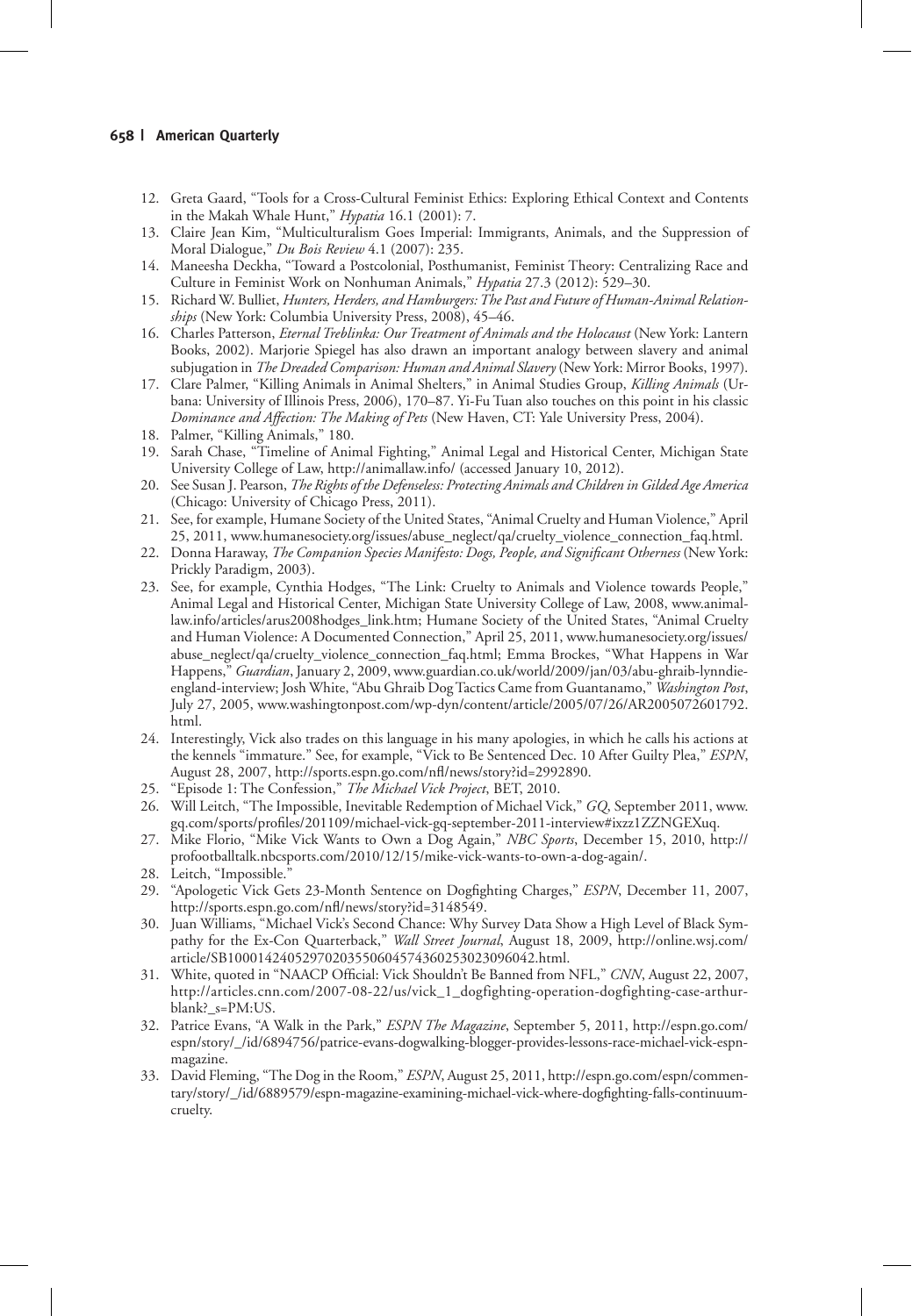- 12. Greta Gaard, "Tools for a Cross-Cultural Feminist Ethics: Exploring Ethical Context and Contents in the Makah Whale Hunt," *Hypatia* 16.1 (2001): 7.
- 13. Claire Jean Kim, "Multiculturalism Goes Imperial: Immigrants, Animals, and the Suppression of Moral Dialogue," *Du Bois Review* 4.1 (2007): 235.
- 14. Maneesha Deckha, "Toward a Postcolonial, Posthumanist, Feminist Theory: Centralizing Race and Culture in Feminist Work on Nonhuman Animals," *Hypatia* 27.3 (2012): 529–30.
- 15. Richard W. Bulliet, *Hunters, Herders, and Hamburgers: The Past and Future of Human-Animal Relationships* (New York: Columbia University Press, 2008), 45–46.
- 16. Charles Patterson, *Eternal Treblinka: Our Treatment of Animals and the Holocaust* (New York: Lantern Books, 2002). Marjorie Spiegel has also drawn an important analogy between slavery and animal subjugation in *The Dreaded Comparison: Human and Animal Slavery* (New York: Mirror Books, 1997).
- 17. Clare Palmer, "Killing Animals in Animal Shelters," in Animal Studies Group, *Killing Animals* (Urbana: University of Illinois Press, 2006), 170–87. Yi-Fu Tuan also touches on this point in his classic *Dominance and Affection: The Making of Pets* (New Haven, CT: Yale University Press, 2004).
- 18. Palmer, "Killing Animals," 180.
- 19. Sarah Chase, "Timeline of Animal Fighting," Animal Legal and Historical Center, Michigan State University College of Law, http://animallaw.info/ (accessed January 10, 2012).
- 20. See Susan J. Pearson, *The Rights of the Defenseless: Protecting Animals and Children in Gilded Age America*  (Chicago: University of Chicago Press, 2011).
- 21. See, for example, Humane Society of the United States, "Animal Cruelty and Human Violence," April 25, 2011, www.humanesociety.org/issues/abuse\_neglect/qa/cruelty\_violence\_connection\_faq.html.
- 22. Donna Haraway, *The Companion Species Manifesto: Dogs, People, and Significant Otherness* (New York: Prickly Paradigm, 2003).
- 23. See, for example, Cynthia Hodges, "The Link: Cruelty to Animals and Violence towards People," Animal Legal and Historical Center, Michigan State University College of Law, 2008, www.animallaw.info/articles/arus2008hodges\_link.htm; Humane Society of the United States, "Animal Cruelty and Human Violence: A Documented Connection," April 25, 2011, www.humanesociety.org/issues/ abuse\_neglect/qa/cruelty\_violence\_connection\_faq.html; Emma Brockes, "What Happens in War Happens," *Guardian*, January 2, 2009, www.guardian.co.uk/world/2009/jan/03/abu-ghraib-lynndieengland-interview; Josh White, "Abu Ghraib Dog Tactics Came from Guantanamo," *Washington Post*, July 27, 2005, www.washingtonpost.com/wp-dyn/content/article/2005/07/26/AR2005072601792. html.
- 24. Interestingly, Vick also trades on this language in his many apologies, in which he calls his actions at the kennels "immature." See, for example, "Vick to Be Sentenced Dec. 10 After Guilty Plea," *ESPN*, August 28, 2007, http://sports.espn.go.com/nfl/news/story?id=2992890.
- 25. "Episode 1: The Confession," *The Michael Vick Project*, BET, 2010.
- 26. Will Leitch, "The Impossible, Inevitable Redemption of Michael Vick," *GQ*, September 2011, www. gq.com/sports/profiles/201109/michael-vick-gq-september-2011-interview#ixzz1ZZNGEXuq.
- 27. Mike Florio, "Mike Vick Wants to Own a Dog Again," *NBC Sports*, December 15, 2010, http:// profootballtalk.nbcsports.com/2010/12/15/mike-vick-wants-to-own-a-dog-again/.
- 28. Leitch, "Impossible.
- 29. "Apologetic Vick Gets 23-Month Sentence on Dogfighting Charges," *ESPN*, December 11, 2007, http://sports.espn.go.com/nfl/news/story?id=3148549.
- 30. Juan Williams, "Michael Vick's Second Chance: Why Survey Data Show a High Level of Black Sympathy for the Ex-Con Quarterback," *Wall Street Journal*, August 18, 2009, http://online.wsj.com/ article/SB10001424052970203550604574360253023096042.html.
- 31. White, quoted in "NAACP Official: Vick Shouldn't Be Banned from NFL," *CNN*, August 22, 2007, http://articles.cnn.com/2007-08-22/us/vick\_1\_dogfighting-operation-dogfighting-case-arthurblank?\_s=PM:US.
- 32. Patrice Evans, "A Walk in the Park," *ESPN The Magazine*, September 5, 2011, http://espn.go.com/ espn/story/\_/id/6894756/patrice-evans-dogwalking-blogger-provides-lessons-race-michael-vick-espnmagazine.
- 33. David Fleming, "The Dog in the Room," *ESPN*, August 25, 2011, http://espn.go.com/espn/commentary/story/\_/id/6889579/espn-magazine-examining-michael-vick-where-dogfighting-falls-continuumcruelty.